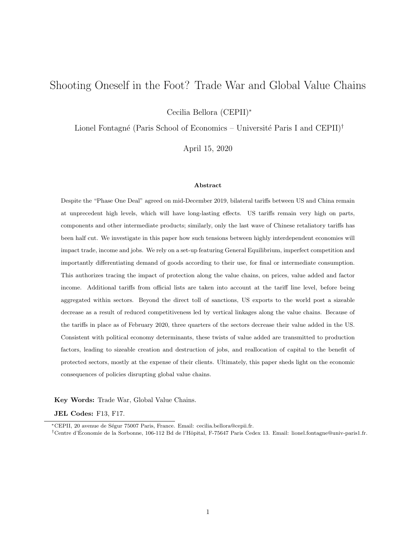# Shooting Oneself in the Foot? Trade War and Global Value Chains

Cecilia Bellora (CEPII)<sup>∗</sup>

Lionel Fontagné (Paris School of Economics – Université Paris I and  $CEPII)^{\dagger}$ 

April 15, 2020

#### Abstract

Despite the "Phase One Deal" agreed on mid-December 2019, bilateral tariffs between US and China remain at unprecedent high levels, which will have long-lasting effects. US tariffs remain very high on parts, components and other intermediate products; similarly, only the last wave of Chinese retaliatory tariffs has been half cut. We investigate in this paper how such tensions between highly interdependent economies will impact trade, income and jobs. We rely on a set-up featuring General Equilibrium, imperfect competition and importantly differentiating demand of goods according to their use, for final or intermediate consumption. This authorizes tracing the impact of protection along the value chains, on prices, value added and factor income. Additional tariffs from official lists are taken into account at the tariff line level, before being aggregated within sectors. Beyond the direct toll of sanctions, US exports to the world post a sizeable decrease as a result of reduced competitiveness led by vertical linkages along the value chains. Because of the tariffs in place as of February 2020, three quarters of the sectors decrease their value added in the US. Consistent with political economy determinants, these twists of value added are transmitted to production factors, leading to sizeable creation and destruction of jobs, and reallocation of capital to the benefit of protected sectors, mostly at the expense of their clients. Ultimately, this paper sheds light on the economic consequences of policies disrupting global value chains.

Key Words: Trade War, Global Value Chains.

JEL Codes: F13, F17.

<sup>∗</sup>CEPII, 20 avenue de S´egur 75007 Paris, France. Email: cecilia.bellora@cepii.fr.

<sup>†</sup>Centre d'Economie de la Sorbonne, 106-112 Bd de l'Hˆopital, F-75647 Paris Cedex 13. Email: lionel.fontagne@univ-paris1.fr. ´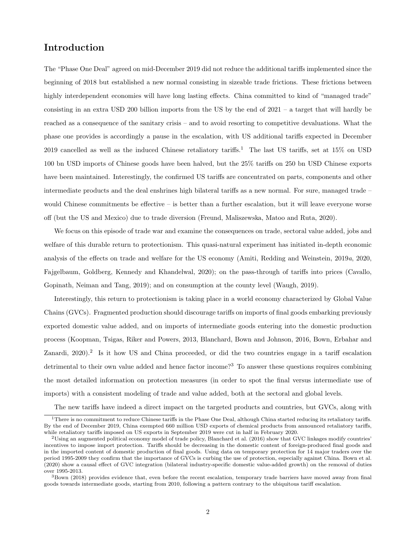### Introduction

The "Phase One Deal" agreed on mid-December 2019 did not reduce the additional tariffs implemented since the beginning of 2018 but established a new normal consisting in sizeable trade frictions. These frictions between highly interdependent economies will have long lasting effects. China committed to kind of "managed trade" consisting in an extra USD 200 billion imports from the US by the end of 2021 – a target that will hardly be reached as a consequence of the sanitary crisis – and to avoid resorting to competitive devaluations. What the phase one provides is accordingly a pause in the escalation, with US additional tariffs expected in December 20[1](#page-1-0)9 cancelled as well as the induced Chinese retaliatory tariffs.<sup>1</sup> The last US tariffs, set at  $15\%$  on USD 100 bn USD imports of Chinese goods have been halved, but the 25% tariffs on 250 bn USD Chinese exports have been maintained. Interestingly, the confirmed US tariffs are concentrated on parts, components and other intermediate products and the deal enshrines high bilateral tariffs as a new normal. For sure, managed trade – would Chinese commitments be effective – is better than a further escalation, but it will leave everyone worse off (but the US and Mexico) due to trade diversion [\(Freund, Maliszewska, Matoo and Ruta, 2020\)](#page-28-0).

We focus on this episode of trade war and examine the consequences on trade, sectoral value added, jobs and welfare of this durable return to protectionism. This quasi-natural experiment has initiated in-depth economic analysis of the effects on trade and welfare for the US economy [\(Amiti, Redding and Weinstein, 2019](#page-27-0)a, [2020,](#page-27-1) [Fajgelbaum, Goldberg, Kennedy and Khandelwal, 2020\)](#page-27-2); on the pass-through of tariffs into prices [\(Cavallo,](#page-27-3) [Gopinath, Neiman and Tang, 2019\)](#page-27-3); and on consumption at the county level [\(Waugh, 2019\)](#page-28-1).

Interestingly, this return to protectionism is taking place in a world economy characterized by Global Value Chains (GVCs). Fragmented production should discourage tariffs on imports of final goods embarking previously exported domestic value added, and on imports of intermediate goods entering into the domestic production process [\(Koopman, Tsigas, Riker and Powers, 2013,](#page-28-2) [Blanchard, Bown and Johnson, 2016,](#page-27-4) [Bown, Erbahar and](#page-27-5) [Zanardi, 2020\)](#page-27-5).<sup>[2](#page-1-1)</sup> Is it how US and China proceeded, or did the two countries engage in a tariff escalation detrimental to their own value added and hence factor income?<sup>[3](#page-1-2)</sup> To answer these questions requires combining the most detailed information on protection measures (in order to spot the final versus intermediate use of imports) with a consistent modeling of trade and value added, both at the sectoral and global levels.

The new tariffs have indeed a direct impact on the targeted products and countries, but GVCs, along with

<span id="page-1-0"></span><sup>&</sup>lt;sup>1</sup>There is no commitment to reduce Chinese tariffs in the Phase One Deal, although China started reducing its retaliatory tariffs. By the end of December 2019, China exempted 660 million USD exports of chemical products from announced retaliatory tariffs, while retaliatory tariffs imposed on US exports in September 2019 were cut in half in February 2020.

<span id="page-1-1"></span><sup>2</sup>Using an augmented political economy model of trade policy, [Blanchard et al.](#page-27-4) [\(2016\)](#page-27-4) show that GVC linkages modify countries' incentives to impose import protection. Tariffs should be decreasing in the domestic content of foreign-produced final goods and in the imported content of domestic production of final goods. Using data on temporary protection for 14 major traders over the period 1995-2009 they confirm that the importance of GVCs is curbing the use of protection, especially against China. [Bown et al.](#page-27-5) [\(2020\)](#page-27-5) show a causal effect of GVC integration (bilateral industry-specific domestic value-added growth) on the removal of duties over 1995-2013.

<span id="page-1-2"></span> $3$ [Bown](#page-27-6) [\(2018\)](#page-27-6) provides evidence that, even before the recent escalation, temporary trade barriers have moved away from final goods towards intermediate goods, starting from 2010, following a pattern contrary to the ubiquitous tariff escalation.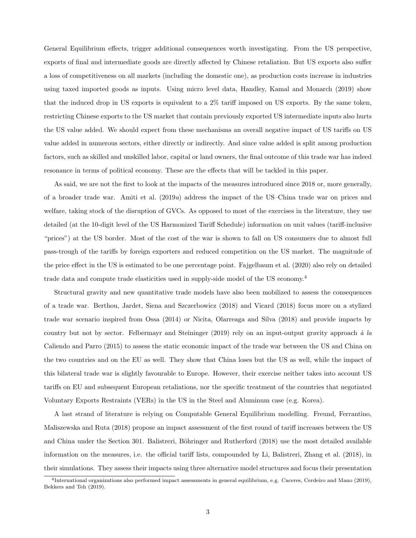General Equilibrium effects, trigger additional consequences worth investigating. From the US perspective, exports of final and intermediate goods are directly affected by Chinese retaliation. But US exports also suffer a loss of competitiveness on all markets (including the domestic one), as production costs increase in industries using taxed imported goods as inputs. Using micro level data, [Handley, Kamal and Monarch](#page-28-3) [\(2019\)](#page-28-3) show that the induced drop in US exports is equivalent to a 2% tariff imposed on US exports. By the same token, restricting Chinese exports to the US market that contain previously exported US intermediate inputs also hurts the US value added. We should expect from these mechanisms an overall negative impact of US tariffs on US value added in numerous sectors, either directly or indirectly. And since value added is split among production factors, such as skilled and unskilled labor, capital or land owners, the final outcome of this trade war has indeed resonance in terms of political economy. These are the effects that will be tackled in this paper.

As said, we are not the first to look at the impacts of the measures introduced since 2018 or, more generally, of a broader trade war. [Amiti et al.](#page-27-0) [\(2019](#page-27-0)a) address the impact of the US–China trade war on prices and welfare, taking stock of the disruption of GVCs. As opposed to most of the exercises in the literature, they use detailed (at the 10-digit level of the US Harmonized Tariff Schedule) information on unit values (tariff-inclusive "prices") at the US border. Most of the cost of the war is shown to fall on US consumers due to almost full pass-trough of the tariffs by foreign exporters and reduced competition on the US market. The magnitude of the price effect in the US is estimated to be one percentage point. [Fajgelbaum et al.](#page-27-2) [\(2020\)](#page-27-2) also rely on detailed trade data and compute trade elasticities used in supply-side model of the US economy.[4](#page-2-0)

Structural gravity and new quantitative trade models have also been mobilized to assess the consequences of a trade war. [Berthou, Jardet, Siena and Szczerbowicz](#page-27-7) [\(2018\)](#page-27-7) and [Vicard](#page-28-4) [\(2018\)](#page-28-4) focus more on a stylized trade war scenario inspired from [Ossa](#page-28-5) [\(2014\)](#page-28-5) or [Nicita, Olarreaga and Silva](#page-28-6) [\(2018\)](#page-28-6) and provide impacts by country but not by sector. [Felbermayr and Steininger](#page-27-8) [\(2019\)](#page-27-8) rely on an input-output gravity approach  $\dot{a}$  la [Caliendo and Parro](#page-27-9) [\(2015\)](#page-27-9) to assess the static economic impact of the trade war between the US and China on the two countries and on the EU as well. They show that China loses but the US as well, while the impact of this bilateral trade war is slightly favourable to Europe. However, their exercise neither takes into account US tariffs on EU and subsequent European retaliations, nor the specific treatment of the countries that negotiated Voluntary Exports Restraints (VERs) in the US in the Steel and Aluminum case (e.g. Korea).

A last strand of literature is relying on Computable General Equilibrium modelling. [Freund, Ferrantino,](#page-28-7) [Maliszewska and Ruta](#page-28-7) [\(2018\)](#page-28-7) propose an impact assessment of the first round of tariff increases between the US and China under the Section 301. Balistreri, Böhringer and Rutherford [\(2018\)](#page-27-10) use the most detailed available information on the measures, i.e. the official tariff lists, compounded by [Li, Balistreri, Zhang et al.](#page-28-8) [\(2018\)](#page-28-8), in their simulations. They assess their impacts using three alternative model structures and focus their presentation

<span id="page-2-0"></span><sup>4</sup> International organizations also performed impact assessments in general equilibrium, e.g. [Caceres, Cerdeiro and Mano](#page-27-11) [\(2019\)](#page-27-11), [Bekkers and Teh](#page-27-12) [\(2019\)](#page-27-12).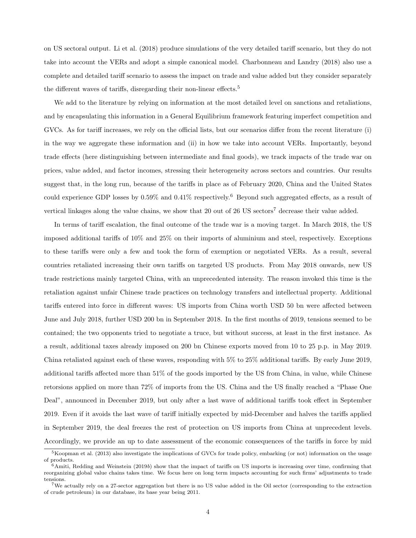on US sectoral output. [Li et al.](#page-28-8) [\(2018\)](#page-28-8) produce simulations of the very detailed tariff scenario, but they do not take into account the VERs and adopt a simple canonical model. [Charbonneau and Landry](#page-27-13) [\(2018\)](#page-27-13) also use a complete and detailed tariff scenario to assess the impact on trade and value added but they consider separately the different waves of tariffs, disregarding their non-linear effects.<sup>[5](#page-3-0)</sup>

We add to the literature by relying on information at the most detailed level on sanctions and retaliations, and by encapsulating this information in a General Equilibrium framework featuring imperfect competition and GVCs. As for tariff increases, we rely on the official lists, but our scenarios differ from the recent literature (i) in the way we aggregate these information and (ii) in how we take into account VERs. Importantly, beyond trade effects (here distinguishing between intermediate and final goods), we track impacts of the trade war on prices, value added, and factor incomes, stressing their heterogeneity across sectors and countries. Our results suggest that, in the long run, because of the tariffs in place as of February 2020, China and the United States could experience GDP losses by  $0.59\%$  and  $0.41\%$  respectively.<sup>[6](#page-3-1)</sup> Beyond such aggregated effects, as a result of vertical linkages along the value chains, we show that 20 out of 26 US sectors<sup>[7](#page-3-2)</sup> decrease their value added.

In terms of tariff escalation, the final outcome of the trade war is a moving target. In March 2018, the US imposed additional tariffs of 10% and 25% on their imports of aluminium and steel, respectively. Exceptions to these tariffs were only a few and took the form of exemption or negotiated VERs. As a result, several countries retaliated increasing their own tariffs on targeted US products. From May 2018 onwards, new US trade restrictions mainly targeted China, with an unprecedented intensity. The reason invoked this time is the retaliation against unfair Chinese trade practices on technology transfers and intellectual property. Additional tariffs entered into force in different waves: US imports from China worth USD 50 bn were affected between June and July 2018, further USD 200 bn in September 2018. In the first months of 2019, tensions seemed to be contained; the two opponents tried to negotiate a truce, but without success, at least in the first instance. As a result, additional taxes already imposed on 200 bn Chinese exports moved from 10 to 25 p.p. in May 2019. China retaliated against each of these waves, responding with 5% to 25% additional tariffs. By early June 2019, additional tariffs affected more than 51% of the goods imported by the US from China, in value, while Chinese retorsions applied on more than 72% of imports from the US. China and the US finally reached a "Phase One Deal", announced in December 2019, but only after a last wave of additional tariffs took effect in September 2019. Even if it avoids the last wave of tariff initially expected by mid-December and halves the tariffs applied in September 2019, the deal freezes the rest of protection on US imports from China at unprecedent levels. Accordingly, we provide an up to date assessment of the economic consequences of the tariffs in force by mid

<span id="page-3-0"></span><sup>5</sup>[Koopman et al.](#page-28-2) [\(2013\)](#page-28-2) also investigate the implications of GVCs for trade policy, embarking (or not) information on the usage of products.

<span id="page-3-1"></span> $6A$ miti, Redding and Weinstein [\(2019](#page-27-14)b) show that the impact of tariffs on US imports is increasing over time, confirming that reorganizing global value chains takes time. We focus here on long term impacts accounting for such firms' adjustments to trade tensions.

<span id="page-3-2"></span><sup>7</sup>We actually rely on a 27-sector aggregation but there is no US value added in the Oil sector (corresponding to the extraction of crude petroleum) in our database, its base year being 2011.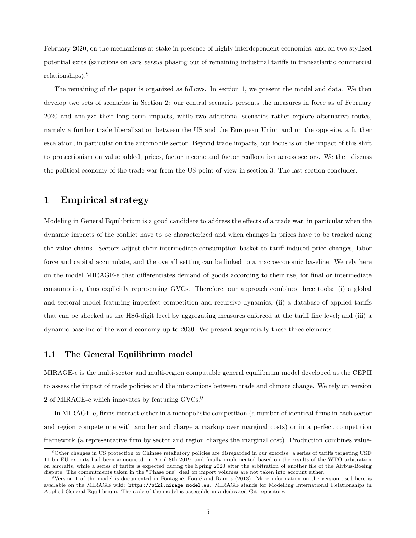February 2020, on the mechanisms at stake in presence of highly interdependent economies, and on two stylized potential exits (sanctions on cars versus phasing out of remaining industrial tariffs in transatlantic commercial relationships).[8](#page-4-0)

The remaining of the paper is organized as follows. In section [1,](#page-4-1) we present the model and data. We then develop two sets of scenarios in Section [2:](#page-8-0) our central scenario presents the measures in force as of February 2020 and analyze their long term impacts, while two additional scenarios rather explore alternative routes, namely a further trade liberalization between the US and the European Union and on the opposite, a further escalation, in particular on the automobile sector. Beyond trade impacts, our focus is on the impact of this shift to protectionism on value added, prices, factor income and factor reallocation across sectors. We then discuss the political economy of the trade war from the US point of view in section [3.](#page-23-0) The last section concludes.

### <span id="page-4-1"></span>1 Empirical strategy

Modeling in General Equilibrium is a good candidate to address the effects of a trade war, in particular when the dynamic impacts of the conflict have to be characterized and when changes in prices have to be tracked along the value chains. Sectors adjust their intermediate consumption basket to tariff-induced price changes, labor force and capital accumulate, and the overall setting can be linked to a macroeconomic baseline. We rely here on the model MIRAGE-e that differentiates demand of goods according to their use, for final or intermediate consumption, thus explicitly representing GVCs. Therefore, our approach combines three tools: (i) a global and sectoral model featuring imperfect competition and recursive dynamics; (ii) a database of applied tariffs that can be shocked at the HS6-digit level by aggregating measures enforced at the tariff line level; and (iii) a dynamic baseline of the world economy up to 2030. We present sequentially these three elements.

#### 1.1 The General Equilibrium model

MIRAGE-e is the multi-sector and multi-region computable general equilibrium model developed at the CEPII to assess the impact of trade policies and the interactions between trade and climate change. We rely on version  $2$  of MIRAGE-e which innovates by featuring  $\mathrm{GVCs.}^9$  $\mathrm{GVCs.}^9$ 

In MIRAGE-e, firms interact either in a monopolistic competition (a number of identical firms in each sector and region compete one with another and charge a markup over marginal costs) or in a perfect competition framework (a representative firm by sector and region charges the marginal cost). Production combines value-

<span id="page-4-0"></span><sup>8</sup>Other changes in US protection or Chinese retaliatory policies are disregarded in our exercise: a series of tariffs targeting USD 11 bn EU exports had been announced on April 8th 2019, and finally implemented based on the results of the WTO arbitration on aircrafts, while a series of tariffs is expected during the Spring 2020 after the arbitration of another file of the Airbus-Boeing dispute. The commitments taken in the "Phase one" deal on import volumes are not taken into account either.

<span id="page-4-2"></span> $9$ Version 1 of the model is documented in Fontagné, Fouré and Ramos [\(2013\)](#page-28-9). More information on the version used here is available on the MIRAGE wiki: <https://wiki.mirage-model.eu>. MIRAGE stands for Modelling International Relationships in Applied General Equilibrium. The code of the model is accessible in a dedicated Git repository.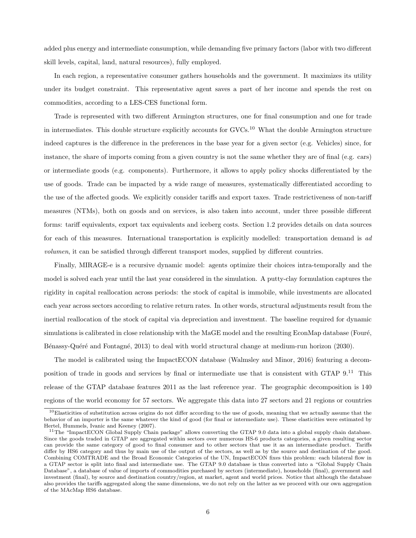added plus energy and intermediate consumption, while demanding five primary factors (labor with two different skill levels, capital, land, natural resources), fully employed.

In each region, a representative consumer gathers households and the government. It maximizes its utility under its budget constraint. This representative agent saves a part of her income and spends the rest on commodities, according to a LES-CES functional form.

Trade is represented with two different Armington structures, one for final consumption and one for trade in intermediates. This double structure explicitly accounts for GVCs.[10](#page-5-0) What the double Armington structure indeed captures is the difference in the preferences in the base year for a given sector (e.g. Vehicles) since, for instance, the share of imports coming from a given country is not the same whether they are of final (e.g. cars) or intermediate goods (e.g. components). Furthermore, it allows to apply policy shocks differentiated by the use of goods. Trade can be impacted by a wide range of measures, systematically differentiated according to the use of the affected goods. We explicitly consider tariffs and export taxes. Trade restrictiveness of non-tariff measures (NTMs), both on goods and on services, is also taken into account, under three possible different forms: tariff equivalents, export tax equivalents and iceberg costs. Section [1.2](#page-6-0) provides details on data sources for each of this measures. International transportation is explicitly modelled: transportation demand is ad volumen, it can be satisfied through different transport modes, supplied by different countries.

Finally, MIRAGE-e is a recursive dynamic model: agents optimize their choices intra-temporally and the model is solved each year until the last year considered in the simulation. A putty-clay formulation captures the rigidity in capital reallocation across periods: the stock of capital is immobile, while investments are allocated each year across sectors according to relative return rates. In other words, structural adjustments result from the inertial reallocation of the stock of capital via depreciation and investment. The baseline required for dynamic simulations is calibrated in close relationship with the MaGE model and the resulting EconMap database (Fouré, Bénassy-Quéré and Fontagné, 2013) to deal with world structural change at medium-run horizon (2030).

The model is calibrated using the ImpactECON database [\(Walmsley and Minor, 2016\)](#page-28-11) featuring a decomposition of trade in goods and services by final or intermediate use that is consistent with GTAP 9.[11](#page-5-1) This release of the GTAP database features 2011 as the last reference year. The geographic decomposition is 140 regions of the world economy for 57 sectors. We aggregate this data into 27 sectors and 21 regions or countries

<span id="page-5-0"></span> $10E$ lasticities of substitution across origins do not differ according to the use of goods, meaning that we actually assume that the behavior of an importer is the same whatever the kind of good (for final or intermediate use). These elasticities were estimated by [Hertel, Hummels, Ivanic and Keeney](#page-28-12) [\(2007\)](#page-28-12).

<span id="page-5-1"></span><sup>&</sup>lt;sup>11</sup>The "ImpactECON Global Supply Chain package" allows converting the GTAP 9.0 data into a global supply chain database. Since the goods traded in GTAP are aggregated within sectors over numerous HS-6 products categories, a given resulting sector can provide the same category of good to final consumer and to other sectors that use it as an intermediate product. Tariffs differ by HS6 category and thus by main use of the output of the sectors, as well as by the source and destination of the good. Combining COMTRADE and the Broad Economic Categories of the UN, ImpactECON fixes this problem: each bilateral flow in a GTAP sector is split into final and intermediate use. The GTAP 9.0 database is thus converted into a "Global Supply Chain Database", a database of value of imports of commodities purchased by sectors (intermediate), households (final), government and investment (final), by source and destination country/region, at market, agent and world prices. Notice that although the database also provides the tariffs aggregated along the same dimensions, we do not rely on the latter as we proceed with our own aggregation of the MAcMap HS6 database.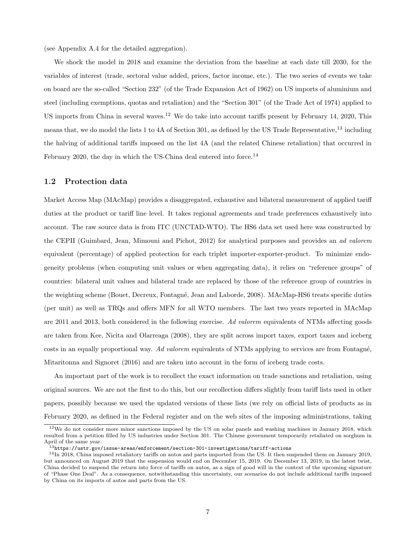(see Appendix [A.4](#page-34-0) for the detailed aggregation).

We shock the model in 2018 and examine the deviation from the baseline at each date till 2030, for the variables of interest (trade, sectoral value added, prices, factor income, etc.). The two series of events we take on board are the so-called "Section 232" (of the Trade Expansion Act of 1962) on US imports of aluminium and steel (including exemptions, quotas and retaliation) and the "Section 301" (of the Trade Act of 1974) applied to US imports from China in several waves.<sup>[12](#page-6-1)</sup> We do take into account tariffs present by February 14, 2020, This means that, we do model the lists 1 to 4A of Section 301, as defined by the US Trade Representative,  $^{13}$  $^{13}$  $^{13}$  including the halving of additional tariffs imposed on the list 4A (and the related Chinese retaliation) that occurred in February 2020, the day in which the US-China deal entered into force.<sup>[14](#page-6-3)</sup>

#### <span id="page-6-0"></span>1.2 Protection data

Market Access Map (MAcMap) provides a disaggregated, exhaustive and bilateral measurement of applied tariff duties at the product or tariff line level. It takes regional agreements and trade preferences exhaustively into account. The raw source data is from ITC (UNCTAD-WTO). The HS6 data set used here was constructed by the CEPII [\(Guimbard, Jean, Mimouni and Pichot, 2012\)](#page-28-13) for analytical purposes and provides an ad valorem equivalent (percentage) of applied protection for each triplet importer-exporter-product. To minimize endogeneity problems (when computing unit values or when aggregating data), it relies on "reference groups" of countries: bilateral unit values and bilateral trade are replaced by those of the reference group of countries in the weighting scheme (Bouet, Decreux, Fontagné, Jean and Laborde, 2008). MAcMap-HS6 treats specific duties (per unit) as well as TRQs and offers MFN for all WTO members. The last two years reported in MAcMap are 2011 and 2013, both considered in the following exercise. Ad valorem equivalents of NTMs affecting goods are taken from [Kee, Nicita and Olarreaga](#page-28-14) [\(2008\)](#page-28-14), they are split across import taxes, export taxes and iceberg costs in an equally proportional way. Ad valorem equivalents of NTMs applying to services are from Fontagné, [Mitaritonna and Signoret](#page-28-15) [\(2016\)](#page-28-15) and are taken into account in the form of iceberg trade costs.

An important part of the work is to recollect the exact information on trade sanctions and retaliation, using original sources. We are not the first to do this, but our recollection differs slightly from tariff lists used in other papers, possibly because we used the updated versions of these lists (we rely on official lists of products as in February 2020, as defined in the Federal register and on the web sites of the imposing administrations, taking

<span id="page-6-1"></span> $12$ We do not consider more minor sanctions imposed by the US on solar panels and washing machines in January 2018, which resulted from a petition filled by US industries under Section 301. The Chinese government temporarily retaliated on sorghum in April of the same year.

<span id="page-6-3"></span><span id="page-6-2"></span><sup>13</sup>[https://ustr.gov/issue-areas/enforcement/section-301-investigations/tariff-actions](https://ustr.gov/issue-areas/enforcement /section-301-investigations/tariff-actions)

<sup>14</sup>In 2018, China imposed retaliatory tariffs on autos and parts imported from the US. It then suspended them on January 2019, but announced on August 2019 that the suspension would end on December 15, 2019. On December 13, 2019, in the latest twist, China decided to suspend the return into force of tariffs on autos, as a sign of good will in the context of the upcoming signature of "Phase One Deal". As a consequence, notwithstanding this uncertainty, our scenarios do not include additional tariffs imposed by China on its imports of autos and parts from the US.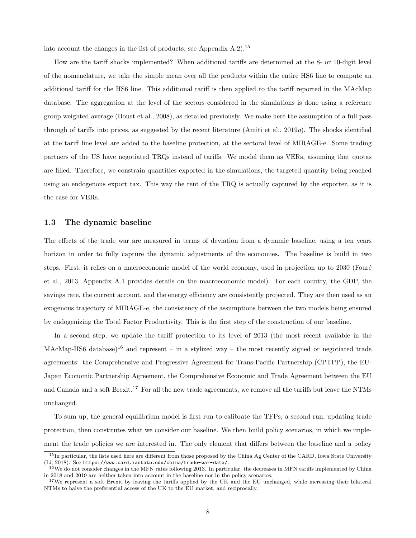into account the changes in the list of products, see Appendix  $A.2$ ).<sup>[15](#page-7-0)</sup>

How are the tariff shocks implemented? When additional tariffs are determined at the 8- or 10-digit level of the nomenclature, we take the simple mean over all the products within the entire HS6 line to compute an additional tariff for the HS6 line. This additional tariff is then applied to the tariff reported in the MAcMap database. The aggregation at the level of the sectors considered in the simulations is done using a reference group weighted average [\(Bouet et al., 2008\)](#page-27-15), as detailed previously. We make here the assumption of a full pass through of tariffs into prices, as suggested by the recent literature (Amiti et al.,  $2019a$ ). The shocks identified at the tariff line level are added to the baseline protection, at the sectoral level of MIRAGE-e. Some trading partners of the US have negotiated TRQs instead of tariffs. We model them as VERs, assuming that quotas are filled. Therefore, we constrain quantities exported in the simulations, the targeted quantity being reached using an endogenous export tax. This way the rent of the TRQ is actually captured by the exporter, as it is the case for VERs.

#### 1.3 The dynamic baseline

The effects of the trade war are measured in terms of deviation from a dynamic baseline, using a ten years horizon in order to fully capture the dynamic adjustments of the economies. The baseline is build in two steps. First, it relies on a macroeconomic model of the world economy, used in projection up to 2030 (Fouré [et al., 2013,](#page-28-10) Appendix [A.1](#page-29-1) provides details on the macroeconomic model). For each country, the GDP, the savings rate, the current account, and the energy efficiency are consistently projected. They are then used as an exogenous trajectory of MIRAGE-e, the consistency of the assumptions between the two models being ensured by endogenizing the Total Factor Productivity. This is the first step of the construction of our baseline.

In a second step, we update the tariff protection to its level of 2013 (the most recent available in the MAcMap-HS6 database)<sup>[16](#page-7-1)</sup> and represent – in a stylized way – the most recently signed or negotiated trade agreements: the Comprehensive and Progressive Agreement for Trans-Pacific Partnership (CPTPP), the EU-Japan Economic Partnership Agreement, the Comprehensive Economic and Trade Agreement between the EU and Canada and a soft Brexit.<sup>[17](#page-7-2)</sup> For all the new trade agreements, we remove all the tariffs but leave the NTMs unchanged.

To sum up, the general equilibrium model is first run to calibrate the TFPs; a second run, updating trade protection, then constitutes what we consider our baseline. We then build policy scenarios, in which we implement the trade policies we are interested in. The only element that differs between the baseline and a policy

<span id="page-7-0"></span> $15$ In particular, the lists used here are different from those proposed by the China Ag Center of the CARD, Iowa State University [\(Li, 2018\)](#page-28-16). See <https://www.card.iastate.edu/china/trade-war-data/>.

<span id="page-7-1"></span><sup>&</sup>lt;sup>16</sup>We do not consider changes in the MFN rates following 2013. In particular, the decreases in MFN tariffs implemented by China in 2018 and 2019 are neither taken into account in the baseline nor in the policy scenarios.

<span id="page-7-2"></span><sup>&</sup>lt;sup>17</sup>We represent a soft Brexit by leaving the tariffs applied by the UK and the EU unchanged, while increasing their bilateral NTMs to halve the preferential access of the UK to the EU market, and reciprocally.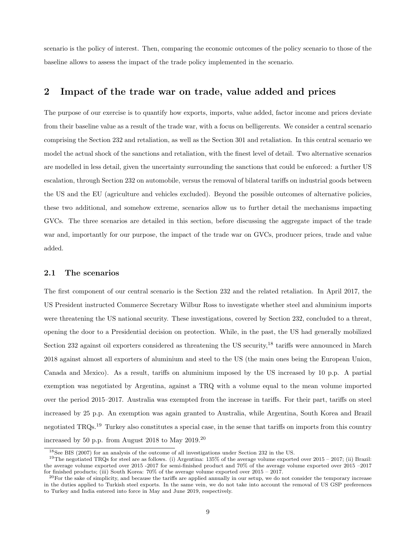scenario is the policy of interest. Then, comparing the economic outcomes of the policy scenario to those of the baseline allows to assess the impact of the trade policy implemented in the scenario.

### <span id="page-8-0"></span>2 Impact of the trade war on trade, value added and prices

The purpose of our exercise is to quantify how exports, imports, value added, factor income and prices deviate from their baseline value as a result of the trade war, with a focus on belligerents. We consider a central scenario comprising the Section 232 and retaliation, as well as the Section 301 and retaliation. In this central scenario we model the actual shock of the sanctions and retaliation, with the finest level of detail. Two alternative scenarios are modelled in less detail, given the uncertainty surrounding the sanctions that could be enforced: a further US escalation, through Section 232 on automobile, versus the removal of bilateral tariffs on industrial goods between the US and the EU (agriculture and vehicles excluded). Beyond the possible outcomes of alternative policies, these two additional, and somehow extreme, scenarios allow us to further detail the mechanisms impacting GVCs. The three scenarios are detailed in this section, before discussing the aggregate impact of the trade war and, importantly for our purpose, the impact of the trade war on GVCs, producer prices, trade and value added.

### 2.1 The scenarios

The first component of our central scenario is the Section 232 and the related retaliation. In April 2017, the US President instructed Commerce Secretary Wilbur Ross to investigate whether steel and aluminium imports were threatening the US national security. These investigations, covered by Section 232, concluded to a threat, opening the door to a Presidential decision on protection. While, in the past, the US had generally mobilized Section 232 against oil exporters considered as threatening the US security,<sup>[18](#page-8-1)</sup> tariffs were announced in March 2018 against almost all exporters of aluminium and steel to the US (the main ones being the European Union, Canada and Mexico). As a result, tariffs on aluminium imposed by the US increased by 10 p.p. A partial exemption was negotiated by Argentina, against a TRQ with a volume equal to the mean volume imported over the period 2015–2017. Australia was exempted from the increase in tariffs. For their part, tariffs on steel increased by 25 p.p. An exemption was again granted to Australia, while Argentina, South Korea and Brazil negotiated TRQs.<sup>[19](#page-8-2)</sup> Turkey also constitutes a special case, in the sense that tariffs on imports from this country increased by 50 p.p. from August 2018 to May 2019.[20](#page-8-3)

<span id="page-8-2"></span><span id="page-8-1"></span><sup>18</sup>See [BIS](#page-27-16) [\(2007\)](#page-27-16) for an analysis of the outcome of all investigations under Section 232 in the US.

<sup>19</sup>The negotiated TRQs for steel are as follows. (i) Argentina: 135% of the average volume exported over 2015 – 2017; (ii) Brazil: the average volume exported over 2015 -2017 for semi-finished product and 70% of the average volume exported over 2015 –2017 for finished products; (iii) South Korea: 70% of the average volume exported over 2015 – 2017.

<span id="page-8-3"></span> $^{20}$ For the sake of simplicity, and because the tariffs are applied annually in our setup, we do not consider the temporary increase in the duties applied to Turkish steel exports. In the same vein, we do not take into account the removal of US GSP preferences to Turkey and India entered into force in May and June 2019, respectively.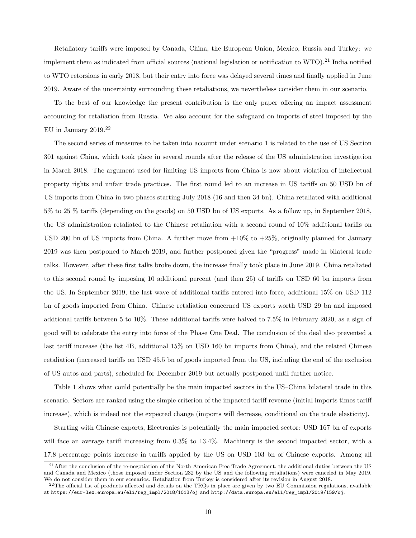Retaliatory tariffs were imposed by Canada, China, the European Union, Mexico, Russia and Turkey: we implement them as indicated from official sources (national legislation or notification to WTO).<sup>[21](#page-9-0)</sup> India notified to WTO retorsions in early 2018, but their entry into force was delayed several times and finally applied in June 2019. Aware of the uncertainty surrounding these retaliations, we nevertheless consider them in our scenario.

To the best of our knowledge the present contribution is the only paper offering an impact assessment accounting for retaliation from Russia. We also account for the safeguard on imports of steel imposed by the EU in January 2019.[22](#page-9-1)

The second series of measures to be taken into account under scenario 1 is related to the use of US Section 301 against China, which took place in several rounds after the release of the US administration investigation in March 2018. The argument used for limiting US imports from China is now about violation of intellectual property rights and unfair trade practices. The first round led to an increase in US tariffs on 50 USD bn of US imports from China in two phases starting July 2018 (16 and then 34 bn). China retaliated with additional 5% to 25 % tariffs (depending on the goods) on 50 USD bn of US exports. As a follow up, in September 2018, the US administration retaliated to the Chinese retaliation with a second round of 10% additional tariffs on USD 200 bn of US imports from China. A further move from +10% to +25%, originally planned for January 2019 was then postponed to March 2019, and further postponed given the "progress" made in bilateral trade talks. However, after these first talks broke down, the increase finally took place in June 2019. China retaliated to this second round by imposing 10 additional percent (and then 25) of tariffs on USD 60 bn imports from the US. In September 2019, the last wave of additional tariffs entered into force, additional 15% on USD 112 bn of goods imported from China. Chinese retaliation concerned US exports worth USD 29 bn and imposed addtional tariffs between 5 to 10%. These additional tariffs were halved to 7.5% in February 2020, as a sign of good will to celebrate the entry into force of the Phase One Deal. The conclusion of the deal also prevented a last tariff increase (the list 4B, additional 15% on USD 160 bn imports from China), and the related Chinese retaliation (increased tariffs on USD 45.5 bn of goods imported from the US, including the end of the exclusion of US autos and parts), scheduled for December 2019 but actually postponed until further notice.

Table [1](#page-10-0) shows what could potentially be the main impacted sectors in the US–China bilateral trade in this scenario. Sectors are ranked using the simple criterion of the impacted tariff revenue (initial imports times tariff increase), which is indeed not the expected change (imports will decrease, conditional on the trade elasticity).

Starting with Chinese exports, Electronics is potentially the main impacted sector: USD 167 bn of exports will face an average tariff increasing from  $0.3\%$  to  $13.4\%$ . Machinery is the second impacted sector, with a 17.8 percentage points increase in tariffs applied by the US on USD 103 bn of Chinese exports. Among all

<span id="page-9-0"></span> $21$ After the conclusion of the re-negotiation of the North American Free Trade Agreement, the additional duties between the US and Canada and Mexico (those imposed under Section 232 by the US and the following retaliations) were canceled in May 2019. We do not consider them in our scenarios. Retaliation from Turkey is considered after its revision in August 2018.

<span id="page-9-1"></span> $^{22}$ The official list of products affected and details on the TRQs in place are given by two EU Commission regulations, available at [https://eur-lex.europa.eu/eli/reg\\_impl/2018/1013/oj](https://eur-lex.europa.eu/eli/reg_impl/2018/1013/oj) and [http://data.europa.eu/eli/reg\\_impl/2019/159/oj](http://data.europa.eu/eli/reg_impl/2019/159/oj).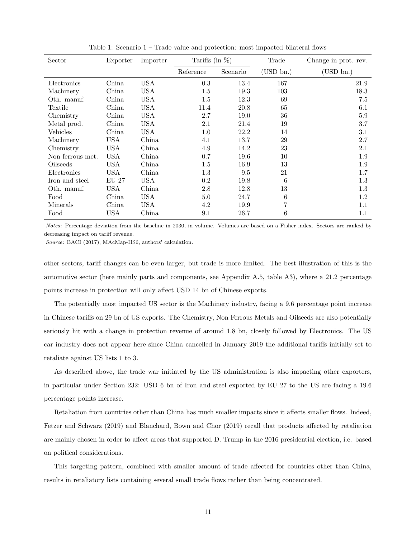| Sector           | Exporter     | Importer   | Tariffs (in $\%$ ) |          | Trade        | Change in prot. rev. |
|------------------|--------------|------------|--------------------|----------|--------------|----------------------|
|                  |              |            | Reference          | Scenario | $(USD\ bn.)$ | (USD bn.)            |
| Electronics      | China        | <b>USA</b> | 0.3                | 13.4     | 167          | 21.9                 |
| Machinery        | China        | <b>USA</b> | $1.5\,$            | 19.3     | 103          | 18.3                 |
| Oth. manuf.      | China        | <b>USA</b> | 1.5                | 12.3     | 69           | 7.5                  |
| Textile          | China        | <b>USA</b> | 11.4               | 20.8     | 65           | 6.1                  |
| Chemistry        | China        | USA        | 2.7                | 19.0     | 36           | 5.9                  |
| Metal prod.      | China        | USA        | 2.1                | 21.4     | 19           | 3.7                  |
| Vehicles         | China        | USA        | 1.0                | 22.2     | 14           | 3.1                  |
| Machinery        | <b>USA</b>   | China      | 4.1                | 13.7     | 29           | 2.7                  |
| Chemistry        | <b>USA</b>   | China      | 4.9                | 14.2     | 23           | 2.1                  |
| Non ferrous met. | <b>USA</b>   | China      | 0.7                | 19.6     | 10           | 1.9                  |
| Oilseeds         | USA          | China      | $1.5\,$            | 16.9     | 13           | 1.9                  |
| Electronics      | USA          | China      | 1.3                | 9.5      | 21           | 1.7                  |
| Iron and steel   | <b>EU 27</b> | USA        | 0.2                | 19.8     | 6            | 1.3                  |
| Oth. manuf.      | <b>USA</b>   | China      | 2.8                | 12.8     | 13           | 1.3                  |
| Food             | China        | USA        | 5.0                | 24.7     | 6            | 1.2                  |
| Minerals         | China        | USA        | 4.2                | 19.9     | 7            | 1.1                  |
| Food             | USA          | China      | 9.1                | 26.7     | 6            | 1.1                  |

<span id="page-10-0"></span>Table 1: Scenario 1 – Trade value and protection: most impacted bilateral flows

Notes: Percentage deviation from the baseline in 2030, in volume. Volumes are based on a Fisher index. Sectors are ranked by decreasing impact on tariff revenue.

Source: BACI (2017), MAcMap-HS6, authors' calculation.

other sectors, tariff changes can be even larger, but trade is more limited. The best illustration of this is the automotive sector (here mainly parts and components, see Appendix [A.5,](#page-35-0) table [A3\)](#page-14-0), where a 21.2 percentage points increase in protection will only affect USD 14 bn of Chinese exports.

The potentially most impacted US sector is the Machinery industry, facing a 9.6 percentage point increase in Chinese tariffs on 29 bn of US exports. The Chemistry, Non Ferrous Metals and Oilseeds are also potentially seriously hit with a change in protection revenue of around 1.8 bn, closely followed by Electronics. The US car industry does not appear here since China cancelled in January 2019 the additional tariffs initially set to retaliate against US lists 1 to 3.

As described above, the trade war initiated by the US administration is also impacting other exporters, in particular under Section 232: USD 6 bn of Iron and steel exported by EU 27 to the US are facing a 19.6 percentage points increase.

Retaliation from countries other than China has much smaller impacts since it affects smaller flows. Indeed, [Fetzer and Schwarz](#page-28-17) [\(2019\)](#page-28-17) and [Blanchard, Bown and Chor](#page-27-17) [\(2019\)](#page-27-17) recall that products affected by retaliation are mainly chosen in order to affect areas that supported D. Trump in the 2016 presidential election, i.e. based on political considerations.

This targeting pattern, combined with smaller amount of trade affected for countries other than China, results in retaliatory lists containing several small trade flows rather than being concentrated.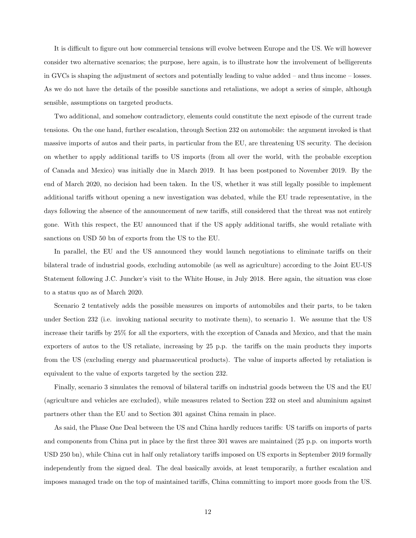It is difficult to figure out how commercial tensions will evolve between Europe and the US. We will however consider two alternative scenarios; the purpose, here again, is to illustrate how the involvement of belligerents in GVCs is shaping the adjustment of sectors and potentially leading to value added – and thus income – losses. As we do not have the details of the possible sanctions and retaliations, we adopt a series of simple, although sensible, assumptions on targeted products.

Two additional, and somehow contradictory, elements could constitute the next episode of the current trade tensions. On the one hand, further escalation, through Section 232 on automobile: the argument invoked is that massive imports of autos and their parts, in particular from the EU, are threatening US security. The decision on whether to apply additional tariffs to US imports (from all over the world, with the probable exception of Canada and Mexico) was initially due in March 2019. It has been postponed to November 2019. By the end of March 2020, no decision had been taken. In the US, whether it was still legally possible to implement additional tariffs without opening a new investigation was debated, while the EU trade representative, in the days following the absence of the announcement of new tariffs, still considered that the threat was not entirely gone. With this respect, the EU announced that if the US apply additional tariffs, she would retaliate with sanctions on USD 50 bn of exports from the US to the EU.

In parallel, the EU and the US announced they would launch negotiations to eliminate tariffs on their bilateral trade of industrial goods, excluding automobile (as well as agriculture) according to the Joint EU-US Statement following J.C. Juncker's visit to the White House, in July 2018. Here again, the situation was close to a status quo as of March 2020.

Scenario 2 tentatively adds the possible measures on imports of automobiles and their parts, to be taken under Section 232 (i.e. invoking national security to motivate them), to scenario 1. We assume that the US increase their tariffs by 25% for all the exporters, with the exception of Canada and Mexico, and that the main exporters of autos to the US retaliate, increasing by 25 p.p. the tariffs on the main products they imports from the US (excluding energy and pharmaceutical products). The value of imports affected by retaliation is equivalent to the value of exports targeted by the section 232.

Finally, scenario 3 simulates the removal of bilateral tariffs on industrial goods between the US and the EU (agriculture and vehicles are excluded), while measures related to Section 232 on steel and aluminium against partners other than the EU and to Section 301 against China remain in place.

As said, the Phase One Deal between the US and China hardly reduces tariffs: US tariffs on imports of parts and components from China put in place by the first three 301 waves are maintained (25 p.p. on imports worth USD 250 bn), while China cut in half only retaliatory tariffs imposed on US exports in September 2019 formally independently from the signed deal. The deal basically avoids, at least temporarily, a further escalation and imposes managed trade on the top of maintained tariffs, China committing to import more goods from the US.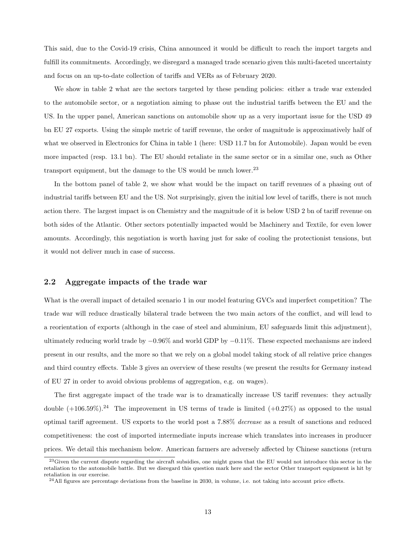This said, due to the Covid-19 crisis, China announced it would be difficult to reach the import targets and fulfill its commitments. Accordingly, we disregard a managed trade scenario given this multi-faceted uncertainty and focus on an up-to-date collection of tariffs and VERs as of February 2020.

We show in table [2](#page-13-0) what are the sectors targeted by these pending policies: either a trade war extended to the automobile sector, or a negotiation aiming to phase out the industrial tariffs between the EU and the US. In the upper panel, American sanctions on automobile show up as a very important issue for the USD 49 bn EU 27 exports. Using the simple metric of tariff revenue, the order of magnitude is approximatively half of what we observed in Electronics for China in table [1](#page-10-0) (here: USD 11.7 bn for Automobile). Japan would be even more impacted (resp. 13.1 bn). The EU should retaliate in the same sector or in a similar one, such as Other transport equipment, but the damage to the US would be much lower.<sup>[23](#page-12-0)</sup>

In the bottom panel of table [2,](#page-13-0) we show what would be the impact on tariff revenues of a phasing out of industrial tariffs between EU and the US. Not surprisingly, given the initial low level of tariffs, there is not much action there. The largest impact is on Chemistry and the magnitude of it is below USD 2 bn of tariff revenue on both sides of the Atlantic. Other sectors potentially impacted would be Machinery and Textile, for even lower amounts. Accordingly, this negotiation is worth having just for sake of cooling the protectionist tensions, but it would not deliver much in case of success.

### 2.2 Aggregate impacts of the trade war

What is the overall impact of detailed scenario 1 in our model featuring GVCs and imperfect competition? The trade war will reduce drastically bilateral trade between the two main actors of the conflict, and will lead to a reorientation of exports (although in the case of steel and aluminium, EU safeguards limit this adjustment), ultimately reducing world trade by −0.96% and world GDP by −0.11%. These expected mechanisms are indeed present in our results, and the more so that we rely on a global model taking stock of all relative price changes and third country effects. Table [3](#page-14-0) gives an overview of these results (we present the results for Germany instead of EU 27 in order to avoid obvious problems of aggregation, e.g. on wages).

The first aggregate impact of the trade war is to dramatically increase US tariff revenues: they actually double  $(+106.59\%)$ .<sup>[24](#page-12-1)</sup> The improvement in US terms of trade is limited  $(+0.27\%)$  as opposed to the usual optimal tariff agreement. US exports to the world post a 7.88% decrease as a result of sanctions and reduced competitiveness: the cost of imported intermediate inputs increase which translates into increases in producer prices. We detail this mechanism below. American farmers are adversely affected by Chinese sanctions (return

<span id="page-12-0"></span><sup>&</sup>lt;sup>23</sup>Given the current dispute regarding the aircraft subsidies, one might guess that the EU would not introduce this sector in the retaliation to the automobile battle. But we disregard this question mark here and the sector Other transport equipment is hit by retaliation in our exercise.

<span id="page-12-1"></span> $24$ All figures are percentage deviations from the baseline in 2030, in volume, i.e. not taking into account price effects.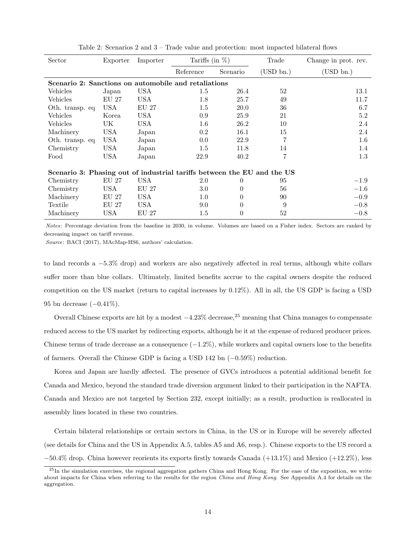| Sector                                                                  | Exporter         | Importer   | Tariffs (in $\%$ ) |          | Trade     | Change in prot. rev. |
|-------------------------------------------------------------------------|------------------|------------|--------------------|----------|-----------|----------------------|
|                                                                         |                  |            | Reference          | Scenario | (USD bn.) | USD bn.)             |
| Scenario 2: Sanctions on automobile and retaliations                    |                  |            |                    |          |           |                      |
| Vehicles                                                                | Japan            | <b>USA</b> | $1.5\,$            | 26.4     | 52        | 13.1                 |
| Vehicles                                                                | EU 27            | USA.       | 1.8                | 25.7     | 49        | 11.7                 |
| Oth. transp. eq                                                         | <b>USA</b>       | EU 27      | $1.5\,$            | 20.0     | 36        | 6.7                  |
| Vehicles                                                                | Korea            | USA        | 0.9                | 25.9     | 21        | 5.2                  |
| Vehicles                                                                | UK               | USA.       | 1.6                | 26.2     | 10        | 2.4                  |
| Machinery                                                               | USA              | Japan      | $0.2\,$            | 16.1     | 15        | 2.4                  |
| Oth. transp. eq                                                         | <b>USA</b>       | Japan      | 0.0                | 22.9     | 7         | $1.6\,$              |
| Chemistry                                                               | USA              | Japan      | 1.5                | 11.8     | 14        | 1.4                  |
| Food                                                                    | USA              | Japan      | 22.9               | 40.2     | 7         | $1.3\,$              |
| Scenario 3: Phasing out of industrial tariffs between the EU and the US |                  |            |                    |          |           |                      |
| Chemistry                                                               | $\mathrm{EU}$ 27 | USA.       | 2.0                | 0        | 95        | $-1.9$               |
| Chemistry                                                               | USA              | EU 27      | 3.0                | $\Omega$ | 56        | $-1.6$               |
| Machinery                                                               | EU 27            | <b>USA</b> | 1.0                | $\Omega$ | 90        | $-0.9$               |
| Textile                                                                 | EU 27            | USA        | 9.0                | $\Omega$ | 9         | $-0.8$               |
| Machinery                                                               | USA              | EU 27      | 1.5                | $\Omega$ | 52        | $-0.8$               |

<span id="page-13-0"></span>Table 2: Scenarios 2 and 3 – Trade value and protection: most impacted bilateral flows

Notes: Percentage deviation from the baseline in 2030, in volume. Volumes are based on a Fisher index. Sectors are ranked by decreasing impact on tariff revenue.

Source: BACI (2017), MAcMap-HS6, authors' calculation.

to land records a −5.3% drop) and workers are also negatively affected in real terms, although white collars suffer more than blue collars. Ultimately, limited benefits accrue to the capital owners despite the reduced competition on the US market (return to capital increases by 0.12%). All in all, the US GDP is facing a USD 95 bn decrease (−0.41%).

Overall Chinese exports are hit by a modest  $-4.23\%$  decrease,<sup>[25](#page-13-1)</sup> meaning that China manages to compensate reduced access to the US market by redirecting exports, although be it at the expense of reduced producer prices. Chinese terms of trade decrease as a consequence  $(-1.2\%)$ , while workers and capital owners lose to the benefits of farmers. Overall the Chinese GDP is facing a USD 142 bn (−0.59%) reduction.

Korea and Japan are hardly affected. The presence of GVCs introduces a potential additional benefit for Canada and Mexico, beyond the standard trade diversion argument linked to their participation in the NAFTA. Canada and Mexico are not targeted by Section 232, except initially; as a result, production is reallocated in assembly lines located in these two countries.

Certain bilateral relationships or certain sectors in China, in the US or in Europe will be severely affected (see details for China and the US in Appendix [A.5,](#page-35-0) tables [A5](#page-36-0) and [A6,](#page-37-0) resp.). Chinese exports to the US record a −50.4% drop. China however reorients its exports firstly towards Canada (+13.1%) and Mexico (+12.2%), less

<span id="page-13-1"></span> $^{25}$ In the simulation exercises, the regional aggregation gathers China and Hong Kong. For the ease of the exposition, we write about impacts for China when referring to the results for the region China and Hong Kong. See Appendix [A.4](#page-34-0) for details on the aggregation.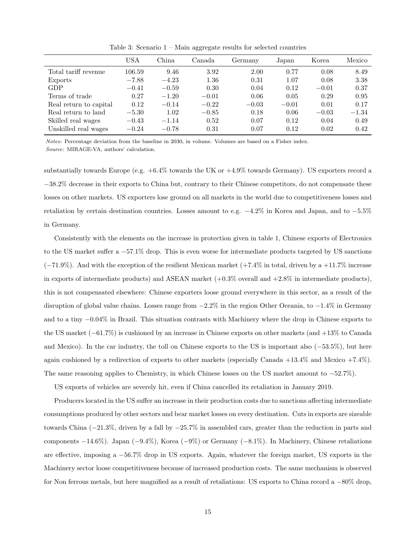|                        | USA     | China   | Canada  | Germany | Japan   | Korea   | Mexico  |
|------------------------|---------|---------|---------|---------|---------|---------|---------|
| Total tariff revenue   | 106.59  | 9.46    | 3.92    | 2.00    | 0.77    | 0.08    | 8.49    |
| Exports                | $-7.88$ | $-4.23$ | 1.36    | 0.31    | 1.07    | 0.08    | 3.38    |
| GDP                    | $-0.41$ | $-0.59$ | 0.30    | 0.04    | 0.12    | $-0.01$ | 0.37    |
| Terms of trade         | 0.27    | $-1.20$ | $-0.01$ | 0.06    | 0.05    | 0.29    | 0.95    |
| Real return to capital | 0.12    | $-0.14$ | $-0.22$ | $-0.03$ | $-0.01$ | 0.01    | 0.17    |
| Real return to land    | $-5.30$ | 1.02    | $-0.85$ | 0.18    | 0.06    | $-0.03$ | $-1.34$ |
| Skilled real wages     | $-0.43$ | $-1.14$ | 0.52    | 0.07    | 0.12    | 0.04    | 0.49    |
| Unskilled real wages   | $-0.24$ | $-0.78$ | 0.31    | 0.07    | 0.12    | 0.02    | 0.42    |

<span id="page-14-0"></span>Table 3: Scenario 1 – Main aggregate results for selected countries

Notes: Percentage deviation from the baseline in 2030, in volume. Volumes are based on a Fisher index. Source: MIRAGE-VA, authors' calculation.

substantially towards Europe (e.g. +6.4% towards the UK or +4.9% towards Germany). US exporters record a −38.2% decrease in their exports to China but, contrary to their Chinese competitors, do not compensate these losses on other markets. US exporters lose ground on all markets in the world due to competitiveness losses and retaliation by certain destination countries. Losses amount to e.g. −4.2% in Korea and Japan, and to −5.5% in Germany.

Consistently with the elements on the increase in protection given in table [1,](#page-10-0) Chinese exports of Electronics to the US market suffer a −57.1% drop. This is even worse for intermediate products targeted by US sanctions  $(-71.9\%)$ . And with the exception of the resilient Mexican market  $(+7.4\%$  in total, driven by a  $+11.7\%$  increase in exports of intermediate products) and ASEAN market  $(+0.3\%$  overall and  $+2.8\%$  in intermediate products). this is not compensated elsewhere: Chinese exporters loose ground everywhere in this sector, as a result of the disruption of global value chains. Losses range from −2.2% in the region Other Oceania, to −1.4% in Germany and to a tiny −0.04% in Brazil. This situation contrasts with Machinery where the drop in Chinese exports to the US market (−61.7%) is cushioned by an increase in Chinese exports on other markets (and +13% to Canada and Mexico). In the car industry, the toll on Chinese exports to the US is important also (−53.5%), but here again cushioned by a redirection of exports to other markets (especially Canada +13.4% and Mexico +7.4%). The same reasoning applies to Chemistry, in which Chinese losses on the US market amount to −52.7%).

US exports of vehicles are severely hit, even if China cancelled its retaliation in January 2019.

Producers located in the US suffer an increase in their production costs due to sanctions affecting intermediate consumptions produced by other sectors and bear market losses on every destination. Cuts in exports are sizeable towards China (−21.3%, driven by a fall by −25.7% in assembled cars, greater than the reduction in parts and components −14.6%). Japan (−9.4%), Korea (−9%) or Germany (−8.1%). In Machinery, Chinese retaliations are effective, imposing a −56.7% drop in US exports. Again, whatever the foreign market, US exports in the Machinery sector loose competitiveness because of increased production costs. The same mechanism is observed for Non ferrous metals, but here magnified as a result of retaliations: US exports to China record a −80% drop,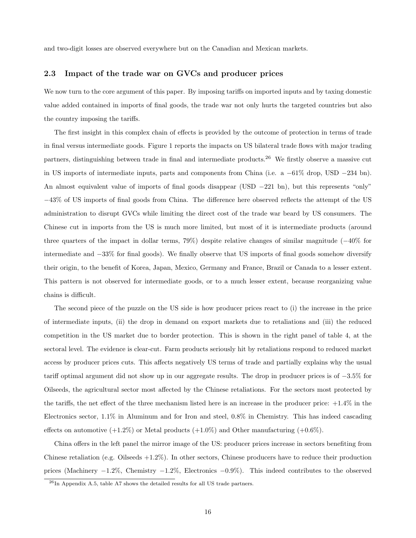and two-digit losses are observed everywhere but on the Canadian and Mexican markets.

#### 2.3 Impact of the trade war on GVCs and producer prices

We now turn to the core argument of this paper. By imposing tariffs on imported inputs and by taxing domestic value added contained in imports of final goods, the trade war not only hurts the targeted countries but also the country imposing the tariffs.

The first insight in this complex chain of effects is provided by the outcome of protection in terms of trade in final versus intermediate goods. Figure [1](#page-16-0) reports the impacts on US bilateral trade flows with major trading partners, distinguishing between trade in final and intermediate products.[26](#page-15-0) We firstly observe a massive cut in US imports of intermediate inputs, parts and components from China (i.e. a −61% drop, USD −234 bn). An almost equivalent value of imports of final goods disappear (USD −221 bn), but this represents "only" −43% of US imports of final goods from China. The difference here observed reflects the attempt of the US administration to disrupt GVCs while limiting the direct cost of the trade war beard by US consumers. The Chinese cut in imports from the US is much more limited, but most of it is intermediate products (around three quarters of the impact in dollar terms, 79%) despite relative changes of similar magnitude (−40% for intermediate and −33% for final goods). We finally observe that US imports of final goods somehow diversify their origin, to the benefit of Korea, Japan, Mexico, Germany and France, Brazil or Canada to a lesser extent. This pattern is not observed for intermediate goods, or to a much lesser extent, because reorganizing value chains is difficult.

The second piece of the puzzle on the US side is how producer prices react to (i) the increase in the price of intermediate inputs, (ii) the drop in demand on export markets due to retaliations and (iii) the reduced competition in the US market due to border protection. This is shown in the right panel of table [4,](#page-17-0) at the sectoral level. The evidence is clear-cut. Farm products seriously hit by retaliations respond to reduced market access by producer prices cuts. This affects negatively US terms of trade and partially explains why the usual tariff optimal argument did not show up in our aggregate results. The drop in producer prices is of −3.5% for Oilseeds, the agricultural sector most affected by the Chinese retaliations. For the sectors most protected by the tariffs, the net effect of the three mechanism listed here is an increase in the producer price: +1.4% in the Electronics sector, 1.1% in Aluminum and for Iron and steel, 0.8% in Chemistry. This has indeed cascading effects on automotive  $(+1.2\%)$  or Metal products  $(+1.0\%)$  and Other manufacturing  $(+0.6\%)$ .

China offers in the left panel the mirror image of the US: producer prices increase in sectors benefiting from Chinese retaliation (e.g. Oilseeds  $+1.2\%$ ). In other sectors, Chinese producers have to reduce their production prices (Machinery −1.2%, Chemistry −1.2%, Electronics −0.9%). This indeed contributes to the observed

<span id="page-15-0"></span> $^{26}{\rm In}$  Appendix [A.5,](#page-35-0) table [A7](#page-38-0) shows the detailed results for all US trade partners.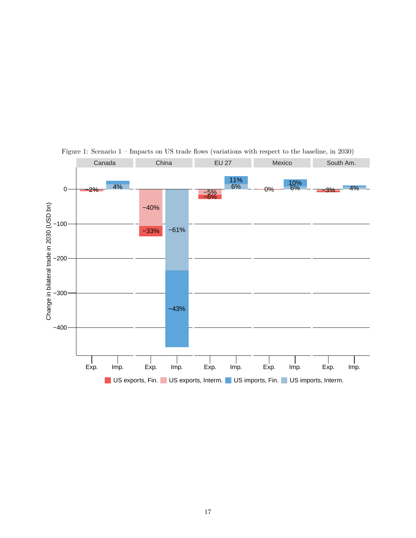

<span id="page-16-0"></span>Figure 1: Scenario 1 – Impacts on US trade flows (variations with respect to the baseline, in 2030)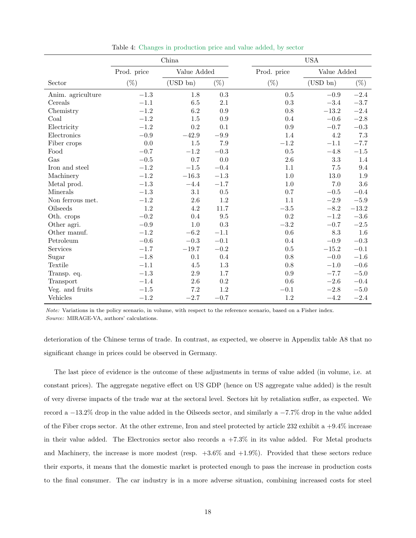|                   | China       |             |           |             | $_{\mathrm{USA}}$ |           |
|-------------------|-------------|-------------|-----------|-------------|-------------------|-----------|
|                   | Prod. price | Value Added |           | Prod. price | Value Added       |           |
| Sector            | $(\%)$      | $(USD\ bn)$ | $(\%)$    | $(\%)$      | $(USD\ bn)$       | $(\%)$    |
| Anim. agriculture | $-1.3\,$    | 1.8         | $\rm 0.3$ | 0.5         | $-0.9$            | $-2.4$    |
| Cereals           | $-1.1$      | 6.5         | 2.1       | 0.3         | $-3.4$            | $-3.7\,$  |
| Chemistry         | $-1.2$      | 6.2         | 0.9       | 0.8         | $-13.2$           | $-2.4$    |
| Coal              | $-1.2$      | 1.5         | 0.9       | 0.4         | $-0.6$            | $-2.8\,$  |
| Electricity       | $-1.2$      | 0.2         | 0.1       | $0.9\,$     | $-0.7$            | $\!-0.3$  |
| Electronics       | $-0.9$      | $-42.9$     | $-9.9$    | 1.4         | 4.2               | $7.3\,$   |
| Fiber crops       | 0.0         | 1.5         | $7.9\,$   | $-1.2$      | $-1.1$            | $-7.7$    |
| Food              | $-0.7$      | $-1.2$      | $-0.3$    | $0.5\,$     | $-4.8$            | $-1.5\,$  |
| Gas               | $-0.5$      | 0.7         | 0.0       | 2.6         | 3.3               | 1.4       |
| Iron and steel    | $-1.2\,$    | $-1.5\,$    | $-0.4$    | 1.1         | $7.5\,$           | 9.4       |
| Machinery         | $-1.2$      | $-16.3$     | $-1.3$    | 1.0         | 13.0              | $1.9\,$   |
| Metal prod.       | $-1.3$      | $-4.4$      | $-1.7$    | $1.0\,$     | $7.0\,$           | $3.6\,$   |
| Minerals          | $-1.3$      | 3.1         | 0.5       | 0.7         | $\!-0.5$          | $-0.4$    |
| Non ferrous met.  | $-1.2$      | $2.6\,$     | 1.2       | 1.1         | $-2.9\,$          | $\!-5.9$  |
| Oilseeds          | 1.2         | 4.2         | 11.7      | $-3.5$      | $-8.2$            | $-13.2\,$ |
| Oth. crops        | $-0.2$      | 0.4         | 9.5       | 0.2         | $-1.2$            | $-3.6\,$  |
| Other agri.       | $-0.9$      | $1.0\,$     | 0.3       | $-3.2$      | $\!-0.7$          | $-2.5\,$  |
| Other manuf.      | $-1.2$      | $-6.2\,$    | $-1.1$    | 0.6         | 8.3               | $1.6\,$   |
| Petroleum         | $-0.6$      | $-0.3$      | $-0.1$    | 0.4         | $\!-0.9$          | $\!-0.3$  |
| Services          | $-1.7$      | $-19.7$     | $-0.2$    | 0.5         | $-15.2$           | $-0.1$    |
| Sugar             | $-1.8$      | 0.1         | 0.4       | 0.8         | $-0.0$            | $-1.6\,$  |
| Textile           | $-1.1$      | 4.5         | 1.3       | 0.8         | $-1.0$            | $-0.6$    |
| Transp. eq.       | $-1.3$      | 2.9         | 1.7       | 0.9         | $-7.7$            | $-5.0$    |
| Transport         | $-1.4$      | $2.6\,$     | $\rm 0.2$ | 0.6         | $-2.6$            | $-0.4$    |
| Veg. and fruits   | $-1.5\,$    | $7.2\,$     | $1.2\,$   | $-0.1$      | $-2.8$            | $-5.0$    |
| Vehicles          | $-1.2$      | $-2.7$      | $-0.7$    | 1.2         | $-4.2$            | $-2.4$    |

<span id="page-17-0"></span>Table 4: Changes in production price and value added, by sector

Note: Variations in the policy scenario, in volume, with respect to the reference scenario, based on a Fisher index. Source: MIRAGE-VA, authors' calculations.

deterioration of the Chinese terms of trade. In contrast, as expected, we observe in Appendix table [A8](#page-39-0) that no significant change in prices could be observed in Germany.

The last piece of evidence is the outcome of these adjustments in terms of value added (in volume, i.e. at constant prices). The aggregate negative effect on US GDP (hence on US aggregate value added) is the result of very diverse impacts of the trade war at the sectoral level. Sectors hit by retaliation suffer, as expected. We record a −13.2% drop in the value added in the Oilseeds sector, and similarly a −7.7% drop in the value added of the Fiber crops sector. At the other extreme, Iron and steel protected by article 232 exhibit a +9.4% increase in their value added. The Electronics sector also records a  $+7.3\%$  in its value added. For Metal products and Machinery, the increase is more modest (resp.  $+3.6\%$  and  $+1.9\%$ ). Provided that these sectors reduce their exports, it means that the domestic market is protected enough to pass the increase in production costs to the final consumer. The car industry is in a more adverse situation, combining increased costs for steel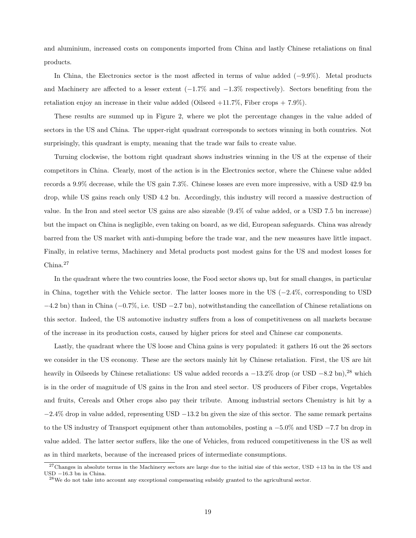and aluminium, increased costs on components imported from China and lastly Chinese retaliations on final products.

In China, the Electronics sector is the most affected in terms of value added (−9.9%). Metal products and Machinery are affected to a lesser extent  $(-1.7\%$  and  $-1.3\%$  respectively). Sectors benefiting from the retaliation enjoy an increase in their value added (Oilseed  $+11.7\%$ , Fiber crops  $+7.9\%$ ).

These results are summed up in Figure [2,](#page-19-0) where we plot the percentage changes in the value added of sectors in the US and China. The upper-right quadrant corresponds to sectors winning in both countries. Not surprisingly, this quadrant is empty, meaning that the trade war fails to create value.

Turning clockwise, the bottom right quadrant shows industries winning in the US at the expense of their competitors in China. Clearly, most of the action is in the Electronics sector, where the Chinese value added records a 9.9% decrease, while the US gain 7.3%. Chinese losses are even more impressive, with a USD 42.9 bn drop, while US gains reach only USD 4.2 bn. Accordingly, this industry will record a massive destruction of value. In the Iron and steel sector US gains are also sizeable (9.4% of value added, or a USD 7.5 bn increase) but the impact on China is negligible, even taking on board, as we did, European safeguards. China was already barred from the US market with anti-dumping before the trade war, and the new measures have little impact. Finally, in relative terms, Machinery and Metal products post modest gains for the US and modest losses for China.<sup>[27](#page-18-0)</sup>

In the quadrant where the two countries loose, the Food sector shows up, but for small changes, in particular in China, together with the Vehicle sector. The latter looses more in the US (−2.4%, corresponding to USD −4.2 bn) than in China (−0.7%, i.e. USD −2.7 bn), notwithstanding the cancellation of Chinese retaliations on this sector. Indeed, the US automotive industry suffers from a loss of competitiveness on all markets because of the increase in its production costs, caused by higher prices for steel and Chinese car components.

Lastly, the quadrant where the US loose and China gains is very populated: it gathers 16 out the 26 sectors we consider in the US economy. These are the sectors mainly hit by Chinese retaliation. First, the US are hit heavily in Oilseeds by Chinese retaliations: US value added records a  $-13.2\%$  drop (or USD  $-8.2$  bn),<sup>[28](#page-18-1)</sup> which is in the order of magnitude of US gains in the Iron and steel sector. US producers of Fiber crops, Vegetables and fruits, Cereals and Other crops also pay their tribute. Among industrial sectors Chemistry is hit by a  $-2.4\%$  drop in value added, representing USD  $-13.2$  bn given the size of this sector. The same remark pertains to the US industry of Transport equipment other than automobiles, posting a −5.0% and USD −7.7 bn drop in value added. The latter sector suffers, like the one of Vehicles, from reduced competitiveness in the US as well as in third markets, because of the increased prices of intermediate consumptions.

<span id="page-18-0"></span> $27$ Changes in absolute terms in the Machinery sectors are large due to the initial size of this sector, USD +13 bn in the US and USD −16.3 bn in China.

<span id="page-18-1"></span> $^{28}\mathrm{We}$  do not take into account any exceptional compensating subsidy granted to the agricultural sector.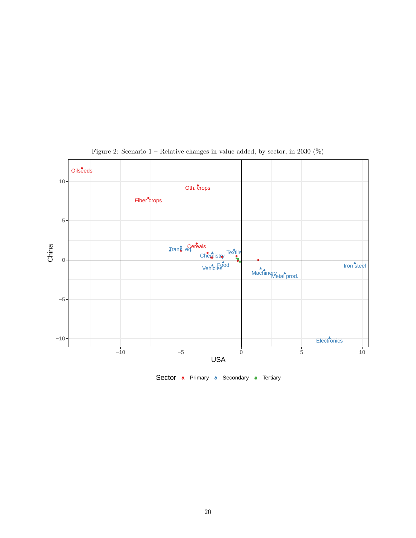

<span id="page-19-0"></span>Figure 2: Scenario 1 – Relative changes in value added, by sector, in 2030 (%)

Sector a Primary a Secondary a Tertiary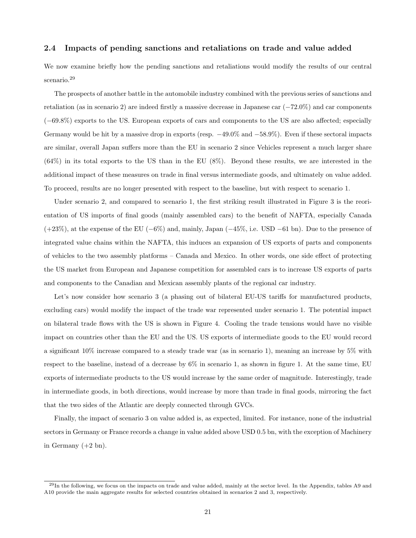#### 2.4 Impacts of pending sanctions and retaliations on trade and value added

We now examine briefly how the pending sanctions and retaliations would modify the results of our central scenario.<sup>[29](#page-20-0)</sup>

The prospects of another battle in the automobile industry combined with the previous series of sanctions and retaliation (as in scenario 2) are indeed firstly a massive decrease in Japanese car (−72.0%) and car components (−69.8%) exports to the US. European exports of cars and components to the US are also affected; especially Germany would be hit by a massive drop in exports (resp. −49.0% and −58.9%). Even if these sectoral impacts are similar, overall Japan suffers more than the EU in scenario 2 since Vehicles represent a much larger share (64%) in its total exports to the US than in the EU (8%). Beyond these results, we are interested in the additional impact of these measures on trade in final versus intermediate goods, and ultimately on value added. To proceed, results are no longer presented with respect to the baseline, but with respect to scenario 1.

Under scenario 2, and compared to scenario 1, the first striking result illustrated in Figure [3](#page-21-0) is the reorientation of US imports of final goods (mainly assembled cars) to the benefit of NAFTA, especially Canada  $(+23\%)$ , at the expense of the EU (−6%) and, mainly, Japan (−45%, i.e. USD −61 bn). Due to the presence of integrated value chains within the NAFTA, this induces an expansion of US exports of parts and components of vehicles to the two assembly platforms – Canada and Mexico. In other words, one side effect of protecting the US market from European and Japanese competition for assembled cars is to increase US exports of parts and components to the Canadian and Mexican assembly plants of the regional car industry.

Let's now consider how scenario 3 (a phasing out of bilateral EU-US tariffs for manufactured products, excluding cars) would modify the impact of the trade war represented under scenario 1. The potential impact on bilateral trade flows with the US is shown in Figure [4.](#page-22-0) Cooling the trade tensions would have no visible impact on countries other than the EU and the US. US exports of intermediate goods to the EU would record a significant 10% increase compared to a steady trade war (as in scenario 1), meaning an increase by 5% with respect to the baseline, instead of a decrease by 6% in scenario 1, as shown in figure [1.](#page-16-0) At the same time, EU exports of intermediate products to the US would increase by the same order of magnitude. Interestingly, trade in intermediate goods, in both directions, would increase by more than trade in final goods, mirroring the fact that the two sides of the Atlantic are deeply connected through GVCs.

Finally, the impact of scenario 3 on value added is, as expected, limited. For instance, none of the industrial sectors in Germany or France records a change in value added above USD 0.5 bn, with the exception of Machinery in Germany  $(+2 \text{ bn})$ .

<span id="page-20-0"></span><sup>&</sup>lt;sup>29</sup>In the following, we focus on the impacts on trade and value added, mainly at the sector level. In the Appendix, tables [A9](#page-39-1) and [A10](#page-40-0) provide the main aggregate results for selected countries obtained in scenarios 2 and 3, respectively.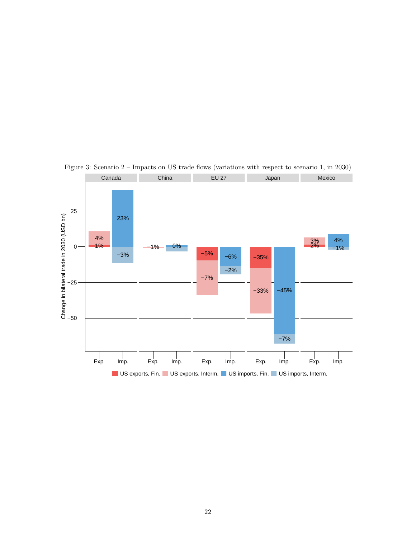

<span id="page-21-0"></span>Figure 3: Scenario 2 – Impacts on US trade flows (variations with respect to scenario 1, in 2030)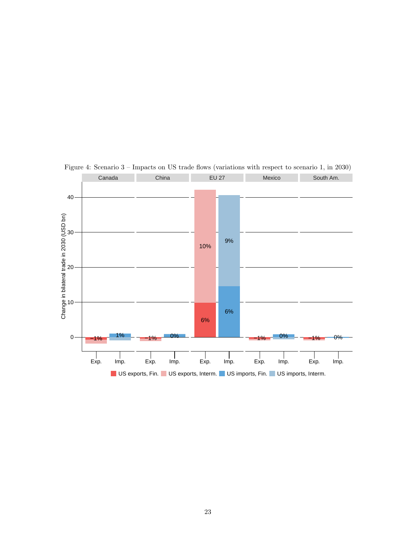

<span id="page-22-0"></span>Figure 4: Scenario 3 – Impacts on US trade flows (variations with respect to scenario 1, in 2030)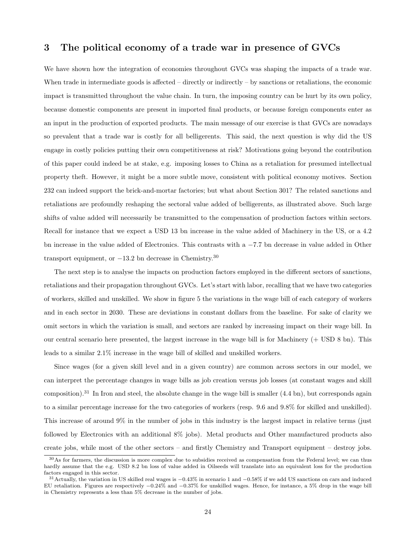### <span id="page-23-0"></span>3 The political economy of a trade war in presence of GVCs

We have shown how the integration of economies throughout GVCs was shaping the impacts of a trade war. When trade in intermediate goods is affected – directly or indirectly – by sanctions or retaliations, the economic impact is transmitted throughout the value chain. In turn, the imposing country can be hurt by its own policy, because domestic components are present in imported final products, or because foreign components enter as an input in the production of exported products. The main message of our exercise is that GVCs are nowadays so prevalent that a trade war is costly for all belligerents. This said, the next question is why did the US engage in costly policies putting their own competitiveness at risk? Motivations going beyond the contribution of this paper could indeed be at stake, e.g. imposing losses to China as a retaliation for presumed intellectual property theft. However, it might be a more subtle move, consistent with political economy motives. Section 232 can indeed support the brick-and-mortar factories; but what about Section 301? The related sanctions and retaliations are profoundly reshaping the sectoral value added of belligerents, as illustrated above. Such large shifts of value added will necessarily be transmitted to the compensation of production factors within sectors. Recall for instance that we expect a USD 13 bn increase in the value added of Machinery in the US, or a 4.2 bn increase in the value added of Electronics. This contrasts with a −7.7 bn decrease in value added in Other transport equipment, or  $-13.2$  bn decrease in Chemistry.<sup>[30](#page-23-1)</sup>

The next step is to analyse the impacts on production factors employed in the different sectors of sanctions, retaliations and their propagation throughout GVCs. Let's start with labor, recalling that we have two categories of workers, skilled and unskilled. We show in figure [5](#page-24-0) the variations in the wage bill of each category of workers and in each sector in 2030. These are deviations in constant dollars from the baseline. For sake of clarity we omit sectors in which the variation is small, and sectors are ranked by increasing impact on their wage bill. In our central scenario here presented, the largest increase in the wage bill is for Machinery (+ USD 8 bn). This leads to a similar 2.1% increase in the wage bill of skilled and unskilled workers.

Since wages (for a given skill level and in a given country) are common across sectors in our model, we can interpret the percentage changes in wage bills as job creation versus job losses (at constant wages and skill composition).<sup>[31](#page-23-2)</sup> In Iron and steel, the absolute change in the wage bill is smaller  $(4.4 \text{ bn})$ , but corresponds again to a similar percentage increase for the two categories of workers (resp. 9.6 and 9.8% for skilled and unskilled). This increase of around 9% in the number of jobs in this industry is the largest impact in relative terms (just followed by Electronics with an additional 8% jobs). Metal products and Other manufactured products also create jobs, while most of the other sectors – and firstly Chemistry and Transport equipment – destroy jobs.

<span id="page-23-1"></span> $30\text{As}$  for farmers, the discussion is more complex due to subsidies received as compensation from the Federal level; we can thus hardly assume that the e.g. USD 8.2 bn loss of value added in Oilseeds will translate into an equivalent loss for the production factors engaged in this sector.

<span id="page-23-2"></span><sup>&</sup>lt;sup>31</sup>Actually, the variation in US skilled real wages is  $-0.43\%$  in scenario 1 and  $-0.58\%$  if we add US sanctions on cars and induced EU retaliation. Figures are respectively −0.24% and −0.37% for unskilled wages. Hence, for instance, a 5% drop in the wage bill in Chemistry represents a less than 5% decrease in the number of jobs.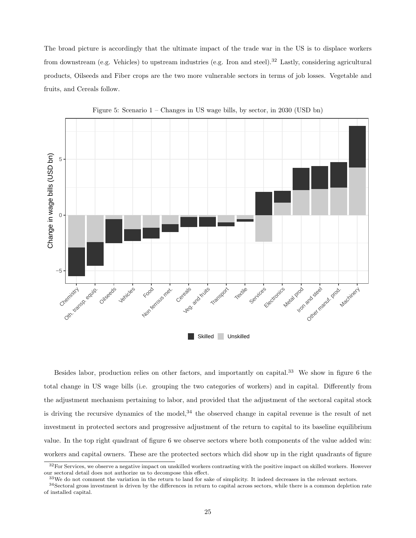The broad picture is accordingly that the ultimate impact of the trade war in the US is to displace workers from downstream (e.g. Vehicles) to upstream industries (e.g. Iron and steel).<sup>[32](#page-24-1)</sup> Lastly, considering agricultural products, Oilseeds and Fiber crops are the two more vulnerable sectors in terms of job losses. Vegetable and fruits, and Cereals follow.



<span id="page-24-0"></span>Figure 5: Scenario 1 – Changes in US wage bills, by sector, in 2030 (USD bn)

Besides labor, production relies on other factors, and importantly on capital.<sup>[33](#page-24-2)</sup> We show in figure [6](#page-25-0) the total change in US wage bills (i.e. grouping the two categories of workers) and in capital. Differently from the adjustment mechanism pertaining to labor, and provided that the adjustment of the sectoral capital stock is driving the recursive dynamics of the model,<sup>[34](#page-24-3)</sup> the observed change in capital revenue is the result of net investment in protected sectors and progressive adjustment of the return to capital to its baseline equilibrium value. In the top right quadrant of figure [6](#page-25-0) we observe sectors where both components of the value added win: workers and capital owners. These are the protected sectors which did show up in the right quadrants of figure

<span id="page-24-1"></span> $32$  For Services, we observe a negative impact on unskilled workers contrasting with the positive impact on skilled workers. However our sectoral detail does not authorize us to decompose this effect.

<span id="page-24-3"></span><span id="page-24-2"></span> $33$ We do not comment the variation in the return to land for sake of simplicity. It indeed decreases in the relevant sectors.

 $34$ Sectoral gross investment is driven by the differences in return to capital across sectors, while there is a common depletion rate of installed capital.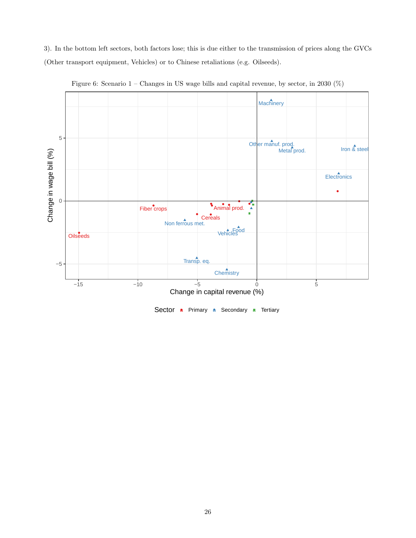[3\)](#page-21-0). In the bottom left sectors, both factors lose; this is due either to the transmission of prices along the GVCs (Other transport equipment, Vehicles) or to Chinese retaliations (e.g. Oilseeds).



<span id="page-25-0"></span>Figure 6: Scenario 1 – Changes in US wage bills and capital revenue, by sector, in 2030 (%)

Sector a Primary a Secondary a Tertiary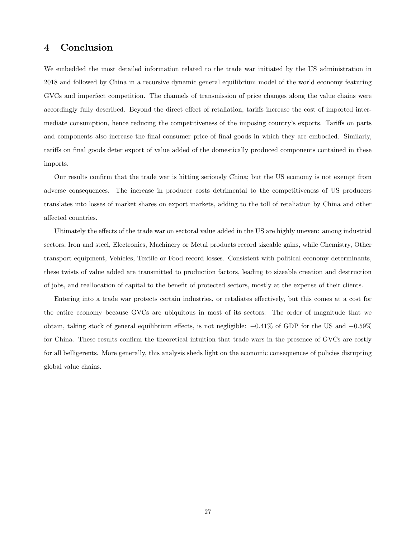### 4 Conclusion

We embedded the most detailed information related to the trade war initiated by the US administration in 2018 and followed by China in a recursive dynamic general equilibrium model of the world economy featuring GVCs and imperfect competition. The channels of transmission of price changes along the value chains were accordingly fully described. Beyond the direct effect of retaliation, tariffs increase the cost of imported intermediate consumption, hence reducing the competitiveness of the imposing country's exports. Tariffs on parts and components also increase the final consumer price of final goods in which they are embodied. Similarly, tariffs on final goods deter export of value added of the domestically produced components contained in these imports.

Our results confirm that the trade war is hitting seriously China; but the US economy is not exempt from adverse consequences. The increase in producer costs detrimental to the competitiveness of US producers translates into losses of market shares on export markets, adding to the toll of retaliation by China and other affected countries.

Ultimately the effects of the trade war on sectoral value added in the US are highly uneven: among industrial sectors, Iron and steel, Electronics, Machinery or Metal products record sizeable gains, while Chemistry, Other transport equipment, Vehicles, Textile or Food record losses. Consistent with political economy determinants, these twists of value added are transmitted to production factors, leading to sizeable creation and destruction of jobs, and reallocation of capital to the benefit of protected sectors, mostly at the expense of their clients.

Entering into a trade war protects certain industries, or retaliates effectively, but this comes at a cost for the entire economy because GVCs are ubiquitous in most of its sectors. The order of magnitude that we obtain, taking stock of general equilibrium effects, is not negligible:  $-0.41\%$  of GDP for the US and  $-0.59\%$ for China. These results confirm the theoretical intuition that trade wars in the presence of GVCs are costly for all belligerents. More generally, this analysis sheds light on the economic consequences of policies disrupting global value chains.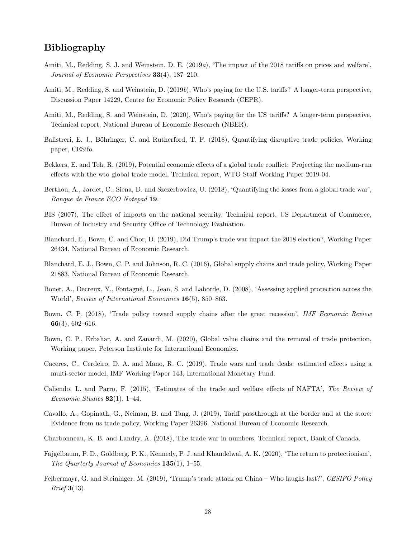### Bibliography

- <span id="page-27-0"></span>Amiti, M., Redding, S. J. and Weinstein, D. E. (2019a), 'The impact of the 2018 tariffs on prices and welfare', Journal of Economic Perspectives 33(4), 187–210.
- <span id="page-27-14"></span>Amiti, M., Redding, S. and Weinstein, D. (2019b), Who's paying for the U.S. tariffs? A longer-term perspective, Discussion Paper 14229, Centre for Economic Policy Research (CEPR).
- <span id="page-27-1"></span>Amiti, M., Redding, S. and Weinstein, D. (2020), Who's paying for the US tariffs? A longer-term perspective, Technical report, National Bureau of Economic Research (NBER).
- <span id="page-27-10"></span>Balistreri, E. J., Böhringer, C. and Rutherford, T. F. (2018), Quantifying disruptive trade policies, Working paper, CESifo.
- <span id="page-27-12"></span>Bekkers, E. and Teh, R. (2019), Potential economic effects of a global trade conflict: Projecting the medium-run effects with the wto global trade model, Technical report, WTO Staff Working Paper 2019-04.
- <span id="page-27-7"></span>Berthou, A., Jardet, C., Siena, D. and Szczerbowicz, U. (2018), 'Quantifying the losses from a global trade war', Banque de France ECO Notepad 19.
- <span id="page-27-16"></span>BIS (2007), The effect of imports on the national security, Technical report, US Department of Commerce, Bureau of Industry and Security Office of Technology Evaluation.
- <span id="page-27-17"></span>Blanchard, E., Bown, C. and Chor, D. (2019), Did Trump's trade war impact the 2018 election?, Working Paper 26434, National Bureau of Economic Research.
- <span id="page-27-4"></span>Blanchard, E. J., Bown, C. P. and Johnson, R. C. (2016), Global supply chains and trade policy, Working Paper 21883, National Bureau of Economic Research.
- <span id="page-27-15"></span>Bouet, A., Decreux, Y., Fontagné, L., Jean, S. and Laborde, D. (2008), 'Assessing applied protection across the World', Review of International Economics 16(5), 850–863.
- <span id="page-27-6"></span>Bown, C. P. (2018), 'Trade policy toward supply chains after the great recession', IMF Economic Review 66(3), 602–616.
- <span id="page-27-5"></span>Bown, C. P., Erbahar, A. and Zanardi, M. (2020), Global value chains and the removal of trade protection, Working paper, Peterson Institute for International Economics.
- <span id="page-27-11"></span>Caceres, C., Cerdeiro, D. A. and Mano, R. C. (2019), Trade wars and trade deals: estimated effects using a multi-sector model, IMF Working Paper 143, International Monetary Fund.
- <span id="page-27-9"></span>Caliendo, L. and Parro, F. (2015), 'Estimates of the trade and welfare effects of NAFTA', The Review of Economic Studies  $82(1)$ , 1–44.
- <span id="page-27-3"></span>Cavallo, A., Gopinath, G., Neiman, B. and Tang, J. (2019), Tariff passthrough at the border and at the store: Evidence from us trade policy, Working Paper 26396, National Bureau of Economic Research.
- <span id="page-27-13"></span>Charbonneau, K. B. and Landry, A. (2018), The trade war in numbers, Technical report, Bank of Canada.
- <span id="page-27-2"></span>Fajgelbaum, P. D., Goldberg, P. K., Kennedy, P. J. and Khandelwal, A. K. (2020), 'The return to protectionism', The Quarterly Journal of Economics 135(1), 1–55.
- <span id="page-27-8"></span>Felbermayr, G. and Steininger, M. (2019), 'Trump's trade attack on China – Who laughs last?', CESIFO Policy Brief 3(13).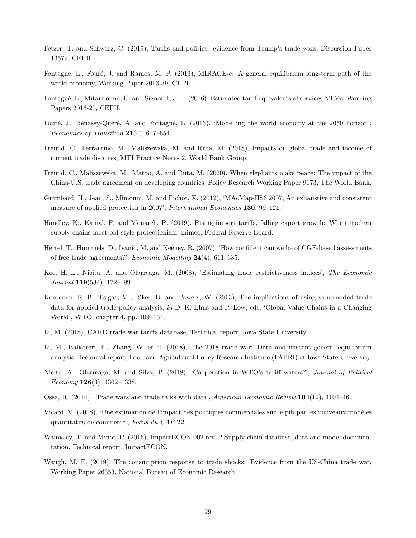- <span id="page-28-17"></span>Fetzer, T. and Schwarz, C. (2019), Tariffs and politics: evidence from Trump's trade wars, Discussion Paper 13579, CEPR.
- <span id="page-28-9"></span>Fontagné, L., Fouré, J. and Ramos, M. P. (2013), MIRAGE-e: A general equilibrium long-term path of the world economy, Working Paper 2013-39, CEPII.
- <span id="page-28-15"></span>Fontagné, L., Mitaritonna, C. and Signoret, J. E. (2016), Estimated tariff equivalents of services NTMs, Working Papers 2016-20, CEPII.
- <span id="page-28-10"></span>Fouré, J., Bénassy-Quéré, A. and Fontagné, L. (2013), 'Modelling the world economy at the 2050 horizon', Economics of Transition 21(4), 617–654.
- <span id="page-28-7"></span>Freund, C., Ferrantino, M., Maliszewska, M. and Ruta, M. (2018), Impacts on global trade and income of current trade disputes, MTI Practice Notes 2, World Bank Group.
- <span id="page-28-0"></span>Freund, C., Maliszewska, M., Matoo, A. and Ruta, M. (2020), When elephants make peace: The impact of the China-U.S. trade agreement on developing countries, Policy Research Working Paper 9173, The World Bank.
- <span id="page-28-13"></span>Guimbard, H., Jean, S., Mimouni, M. and Pichot, X. (2012), 'MAcMap-HS6 2007, An exhaustive and consistent measure of applied protection in 2007', International Economics 130, 99–121.
- <span id="page-28-3"></span>Handley, K., Kamal, F. and Monarch, R. (2019), Rising import tariffs, falling export growth: When modern supply chains meet old-style protectionism, mimeo, Federal Reserve Board.
- <span id="page-28-12"></span>Hertel, T., Hummels, D., Ivanic, M. and Keeney, R. (2007), 'How confident can we be of CGE-based assessments of free trade agreements?', Economic Modelling 24(4), 611–635.
- <span id="page-28-14"></span>Kee, H. L., Nicita, A. and Olarreaga, M. (2008), 'Estimating trade restrictiveness indices', The Economic Journal 119(534), 172–199.
- <span id="page-28-2"></span>Koopman, R. B., Tsigas, M., Riker, D. and Powers, W. (2013), The implications of using value-added trade data for applied trade policy analysis, in D. K. Elms and P. Low, eds, 'Global Value Chains in a Changing World', WTO, chapter 4, pp. 109–134.
- <span id="page-28-16"></span>Li, M. (2018), CARD trade war tariffs database, Technical report, Iowa State University.
- <span id="page-28-8"></span>Li, M., Balistreri, E., Zhang, W. et al. (2018), The 2018 trade war: Data and nascent general equilibrium analysis, Technical report, Food and Agricultural Policy Research Institute (FAPRI) at Iowa State University.
- <span id="page-28-6"></span>Nicita, A., Olarreaga, M. and Silva, P. (2018), 'Cooperation in WTO's tariff waters?', Journal of Political  $E_{\text{conom }y}$  126(3), 1302–1338.
- <span id="page-28-5"></span>Ossa, R. (2014), 'Trade wars and trade talks with data', American Economic Review 104(12), 4104-46.
- <span id="page-28-4"></span>Vicard, V. (2018), 'Une estimation de l'impact des politiques commerciales sur le pib par les nouveaux modèles quantitatifs de commerce', Focus du CAE 22.
- <span id="page-28-11"></span>Walmsley, T. and Minor, P. (2016), ImpactECON 002 rev. 2 Supply chain database, data and model documentation, Technical report, ImpactECON.
- <span id="page-28-1"></span>Waugh, M. E. (2019), The consumption response to trade shocks: Evidence from the US-China trade war, Working Paper 26353, National Bureau of Economic Research.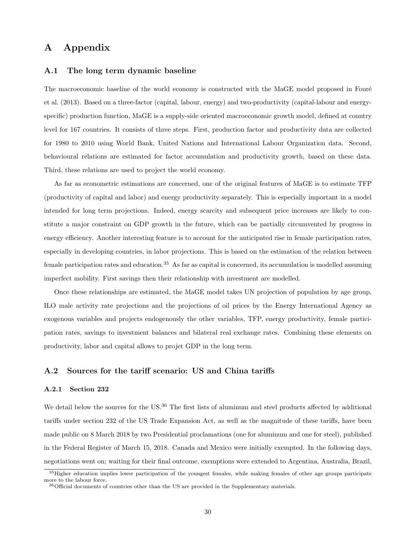## A Appendix

### <span id="page-29-1"></span>A.1 The long term dynamic baseline

The macroeconomic baseline of the world economy is constructed with the MaGE model proposed in Fouré [et al.](#page-28-10) [\(2013\)](#page-28-10). Based on a three-factor (capital, labour, energy) and two-productivity (capital-labour and energyspecific) production function, MaGE is a supply-side oriented macroeconomic growth model, defined at country level for 167 countries. It consists of three steps. First, production factor and productivity data are collected for 1980 to 2010 using World Bank, United Nations and International Labour Organization data. Second, behavioural relations are estimated for factor accumulation and productivity growth, based on these data. Third, these relations are used to project the world economy.

As far as econometric estimations are concerned, one of the original features of MaGE is to estimate TFP (productivity of capital and labor) and energy productivity separately. This is especially important in a model intended for long term projections. Indeed, energy scarcity and subsequent price increases are likely to constitute a major constraint on GDP growth in the future, which can be partially circumvented by progress in energy efficiency. Another interesting feature is to account for the anticipated rise in female participation rates, especially in developing countries, in labor projections. This is based on the estimation of the relation between female participation rates and education.<sup>[35](#page-29-2)</sup> As far as capital is concerned, its accumulation is modelled assuming imperfect mobility. First savings then their relationship with investment are modelled.

Once these relationships are estimated, the MaGE model takes UN projection of population by age group, ILO male activity rate projections and the projections of oil prices by the Energy International Agency as exogenous variables and projects endogenously the other variables, TFP, energy productivity, female participation rates, savings to investment balances and bilateral real exchange rates. Combining these elements on productivity, labor and capital allows to projet GDP in the long term.

#### <span id="page-29-0"></span>A.2 Sources for the tariff scenario: US and China tariffs

#### A.2.1 Section 232

We detail below the sources for the US.<sup>[36](#page-29-3)</sup> The first lists of aluminum and steel products affected by additional tariffs under section 232 of the US Trade Expansion Act, as well as the magnitude of these tariffs, have been made public on 8 March 2018 by two Presidential proclamations (one for aluminum and one for steel), published in the Federal Register of March 15, 2018. Canada and Mexico were initially exempted. In the following days, negotiations went on; waiting for their final outcome, exemptions were extended to Argentina, Australia, Brazil,

<span id="page-29-2"></span><sup>&</sup>lt;sup>35</sup>Higher education implies lower participation of the youngest females, while making females of other age groups participate more to the labour force.

<span id="page-29-3"></span> $36$ Official documents of countries other than the US are provided in the Supplementary materials.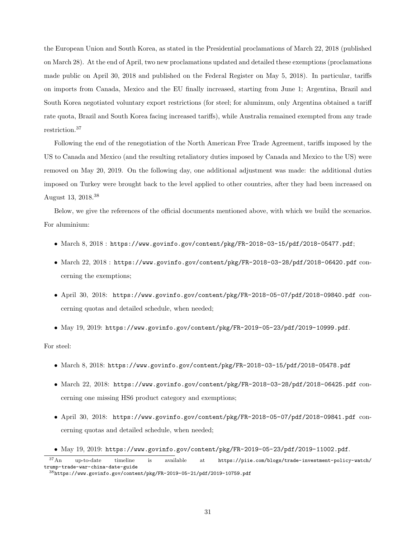the European Union and South Korea, as stated in the Presidential proclamations of March 22, 2018 (published on March 28). At the end of April, two new proclamations updated and detailed these exemptions (proclamations made public on April 30, 2018 and published on the Federal Register on May 5, 2018). In particular, tariffs on imports from Canada, Mexico and the EU finally increased, starting from June 1; Argentina, Brazil and South Korea negotiated voluntary export restrictions (for steel; for aluminum, only Argentina obtained a tariff rate quota, Brazil and South Korea facing increased tariffs), while Australia remained exempted from any trade restriction.[37](#page-30-0)

Following the end of the renegotiation of the North American Free Trade Agreement, tariffs imposed by the US to Canada and Mexico (and the resulting retaliatory duties imposed by Canada and Mexico to the US) were removed on May 20, 2019. On the following day, one additional adjustment was made: the additional duties imposed on Turkey were brought back to the level applied to other countries, after they had been increased on August 13, 2018.[38](#page-30-1)

Below, we give the references of the official documents mentioned above, with which we build the scenarios. For aluminium:

- March 8, 2018 : <https://www.govinfo.gov/content/pkg/FR-2018-03-15/pdf/2018-05477.pdf>;
- March 22, 2018 : <https://www.govinfo.gov/content/pkg/FR-2018-03-28/pdf/2018-06420.pdf> concerning the exemptions;
- April 30, 2018: <https://www.govinfo.gov/content/pkg/FR-2018-05-07/pdf/2018-09840.pdf> concerning quotas and detailed schedule, when needed;
- May 19, 2019: <https://www.govinfo.gov/content/pkg/FR-2019-05-23/pdf/2019-10999.pdf>.

For steel:

- March 8, 2018: <https://www.govinfo.gov/content/pkg/FR-2018-03-15/pdf/2018-05478.pdf>
- March 22, 2018: <https://www.govinfo.gov/content/pkg/FR-2018-03-28/pdf/2018-06425.pdf> concerning one missing HS6 product category and exemptions;
- April 30, 2018: <https://www.govinfo.gov/content/pkg/FR-2018-05-07/pdf/2018-09841.pdf> concerning quotas and detailed schedule, when needed;
- May 19, 2019: <https://www.govinfo.gov/content/pkg/FR-2019-05-23/pdf/2019-11002.pdf>.

<span id="page-30-1"></span><span id="page-30-0"></span> $\frac{37}{10}$  up-to-date timeline is available at [https://piie.com/blogs/trade-investment-policy-watch/](https://piie.com/blogs/trade-investment-policy-watch/trump-trade-war-china-date-guide) [trump-trade-war-china-date-guide](https://piie.com/blogs/trade-investment-policy-watch/trump-trade-war-china-date-guide) <sup>38</sup><https://www.govinfo.gov/content/pkg/FR-2019-05-21/pdf/2019-10759.pdf>

<sup>31</sup>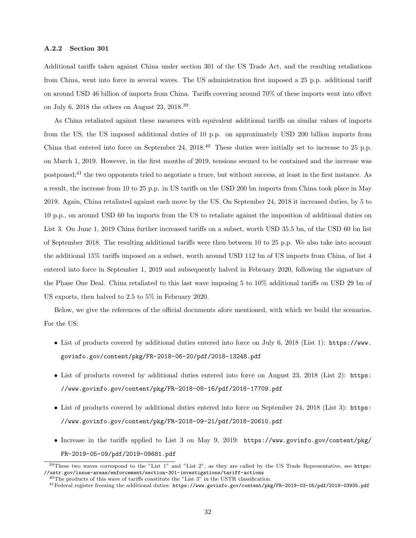#### A.2.2 Section 301

Additional tariffs taken against China under section 301 of the US Trade Act, and the resulting retaliations from China, went into force in several waves. The US administration first imposed a 25 p.p. additional tariff on around USD 46 billion of imports from China. Tariffs covering around 70% of these imports went into effect on July 6, 2018 the others on August 23, 2018.<sup>[39](#page-31-0)</sup>.

As China retaliated against these measures with equivalent additional tariffs on similar values of imports from the US, the US imposed additional duties of 10 p.p. on approximately USD 200 billion imports from China that entered into force on September 24,  $2018<sup>40</sup>$  $2018<sup>40</sup>$  $2018<sup>40</sup>$  These duties were initially set to increase to 25 p.p. on March 1, 2019. However, in the first months of 2019, tensions seemed to be contained and the increase was postponed;[41](#page-31-2) the two opponents tried to negotiate a truce, but without success, at least in the first instance. As a result, the increase from 10 to 25 p.p. in US tariffs on the USD 200 bn imports from China took place in May 2019. Again, China retaliated against each move by the US. On September 24, 2018 it increased duties, by 5 to 10 p.p., on around USD 60 bn imports from the US to retaliate against the imposition of additional duties on List 3. On June 1, 2019 China further increased tariffs on a subset, worth USD 35.5 bn, of the USD 60 bn list of September 2018. The resulting additional tariffs were then between 10 to 25 p.p. We also take into account the additional 15% tariffs imposed on a subset, worth around USD 112 bn of US imports from China, of list 4 entered into force in September 1, 2019 and subsequently halved in February 2020, following the signature of the Phase One Deal. China retaliated to this last wave imposing 5 to 10% additional tariffs on USD 29 bn of US exports, then halved to 2.5 to 5% in February 2020.

Below, we give the references of the official documents afore mentioned, with which we build the scenarios. For the US:

- List of products covered by additional duties entered into force on July 6, 2018 (List 1): [https://www.](https://www.govinfo.gov/content/pkg/FR-2018-06-20/pdf/2018-13248.pdf) [govinfo.gov/content/pkg/FR-2018-06-20/pdf/2018-13248.pdf](https://www.govinfo.gov/content/pkg/FR-2018-06-20/pdf/2018-13248.pdf)
- List of products covered by additional duties entered into force on August 23, 2018 (List 2): [https:](https://www.govinfo.gov/content/pkg/FR-2018-08-16/pdf/2018-17709.pdf) [//www.govinfo.gov/content/pkg/FR-2018-08-16/pdf/2018-17709.pdf](https://www.govinfo.gov/content/pkg/FR-2018-08-16/pdf/2018-17709.pdf)
- List of products covered by additional duties entered into force on September 24, 2018 (List 3): [https:](https://www.govinfo.gov/content/pkg/FR-2018-09-21/pdf/2018-20610.pdf) [//www.govinfo.gov/content/pkg/FR-2018-09-21/pdf/2018-20610.pdf](https://www.govinfo.gov/content/pkg/FR-2018-09-21/pdf/2018-20610.pdf)
- Increase in the tariffs applied to List 3 on May 9, 2019: [https://www.govinfo.gov/content/pkg/](https://www.govinfo.gov/content/pkg/FR-2019-05-09/pdf/2019-09681.pdf) [FR-2019-05-09/pdf/2019-09681.pdf](https://www.govinfo.gov/content/pkg/FR-2019-05-09/pdf/2019-09681.pdf)

<span id="page-31-0"></span> $39$ These two waves correspond to the "List 1" and "List 2", as they are called by the US Trade Representative, see [https:](https://ustr.gov/issue-areas/enforcement/section-301-investigations/tariff-actions) [//ustr.gov/issue-areas/enforcement/section-301-investigations/tariff-actions](https://ustr.gov/issue-areas/enforcement/section-301-investigations/tariff-actions)

<span id="page-31-1"></span> $^{40}$ The products of this wave of tariffs constitute the "List 3" in the USTR classification.

<span id="page-31-2"></span><sup>41</sup>Federal register freezing the additional duties: <https://www.govinfo.gov/content/pkg/FR-2019-03-05/pdf/2019-03935.pdf>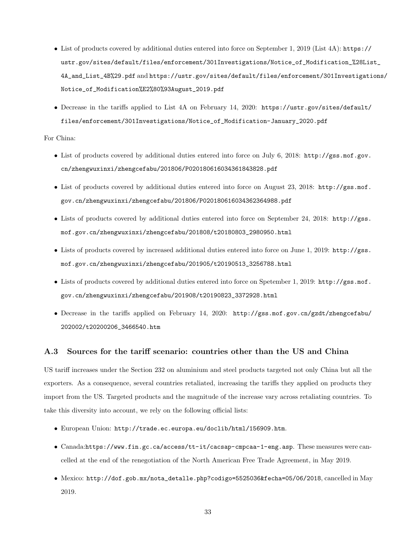- List of products covered by additional duties entered into force on September 1, 2019 (List 4A): [https://](https://ustr.gov/sites/default/files/enforcement/301Investigations/Notice_of_Modification_%28List_4A_and_List_4B%29.pdf) [ustr.gov/sites/default/files/enforcement/301Investigations/Notice\\_of\\_Modification\\_%28Lis](https://ustr.gov/sites/default/files/enforcement/301Investigations/Notice_of_Modification_%28List_4A_and_List_4B%29.pdf)t\_ [4A\\_and\\_List\\_4B%29.pdf](https://ustr.gov/sites/default/files/enforcement/301Investigations/Notice_of_Modification_%28List_4A_and_List_4B%29.pdf) and [https://ustr.gov/sites/default/files/enforcement/301Investigati](https://ustr.gov/sites/default/files/enforcement/301Investigations/Notice_of_Modification%E2%80%93August_2019.pdf)ons/ [Notice\\_of\\_Modification%E2%80%93August\\_2019.pdf](https://ustr.gov/sites/default/files/enforcement/301Investigations/Notice_of_Modification%E2%80%93August_2019.pdf)
- Decrease in the tariffs applied to List 4A on February 14, 2020: [https://ustr.gov/sites/default/](https://ustr.gov/sites/default/files/enforcement/301Investigations/Notice_of_Modification-January_2020.pdf) [files/enforcement/301Investigations/Notice\\_of\\_Modification-January\\_2020.pdf](https://ustr.gov/sites/default/files/enforcement/301Investigations/Notice_of_Modification-January_2020.pdf)

### For China:

- List of products covered by additional duties entered into force on July 6, 2018: [http://gss.mof.gov.](http://gss.mof.gov.cn/zhengwuxinxi/zhengcefabu/201806/P020180616034361843828.pdf) [cn/zhengwuxinxi/zhengcefabu/201806/P020180616034361843828.pdf](http://gss.mof.gov.cn/zhengwuxinxi/zhengcefabu/201806/P020180616034361843828.pdf)
- List of products covered by additional duties entered into force on August 23, 2018: [http://gss.mof.](http://gss.mof.gov.cn/zhengwuxinxi/zhengcefabu/201806/P020180616034362364988.pdf) [gov.cn/zhengwuxinxi/zhengcefabu/201806/P020180616034362364988.pdf](http://gss.mof.gov.cn/zhengwuxinxi/zhengcefabu/201806/P020180616034362364988.pdf)
- Lists of products covered by additional duties entered into force on September 24, 2018: [http://gss.](http://gss.mof.gov.cn/zhengwuxinxi/zhengcefabu/201808/t20180803_2980950.html) [mof.gov.cn/zhengwuxinxi/zhengcefabu/201808/t20180803\\_2980950.html](http://gss.mof.gov.cn/zhengwuxinxi/zhengcefabu/201808/t20180803_2980950.html)
- Lists of products covered by increased additional duties entered into force on June 1, 2019: [http://gss.](http://gss.mof.gov.cn/zhengwuxinxi/zhengcefabu/201905/t20190513_3256788.html) [mof.gov.cn/zhengwuxinxi/zhengcefabu/201905/t20190513\\_3256788.html](http://gss.mof.gov.cn/zhengwuxinxi/zhengcefabu/201905/t20190513_3256788.html)
- Lists of products covered by additional duties entered into force on Spetember 1, 2019: [http://gss.mof.](http://gss.mof.gov.cn/zhengwuxinxi/zhengcefabu/201908/t20190823_3372928.html) [gov.cn/zhengwuxinxi/zhengcefabu/201908/t20190823\\_3372928.html](http://gss.mof.gov.cn/zhengwuxinxi/zhengcefabu/201908/t20190823_3372928.html)
- Decrease in the tariffs applied on February 14, 2020: [http://gss.mof.gov.cn/gzdt/zhengcefabu/](http://gss.mof.gov.cn/gzdt/zhengcefabu/202002/t20200206_3466540.htm) [202002/t20200206\\_3466540.htm](http://gss.mof.gov.cn/gzdt/zhengcefabu/202002/t20200206_3466540.htm)

### A.3 Sources for the tariff scenario: countries other than the US and China

US tariff increases under the Section 232 on aluminium and steel products targeted not only China but all the exporters. As a consequence, several countries retaliated, increasing the tariffs they applied on products they import from the US. Targeted products and the magnitude of the increase vary across retaliating countries. To take this diversity into account, we rely on the following official lists:

- European Union: <http://trade.ec.europa.eu/doclib/html/156909.htm>.
- Canada:<https://www.fin.gc.ca/access/tt-it/cacsap-cmpcaa-1-eng.asp>. These measures were cancelled at the end of the renegotiation of the North American Free Trade Agreement, in May 2019.
- Mexico: [http://dof.gob.mx/nota\\_detalle.php?codigo=5525036&fecha=05/06/2018](http://dof.gob.mx/nota_detalle.php?codigo=5525036&fecha=05/06/2018), cancelled in May 2019.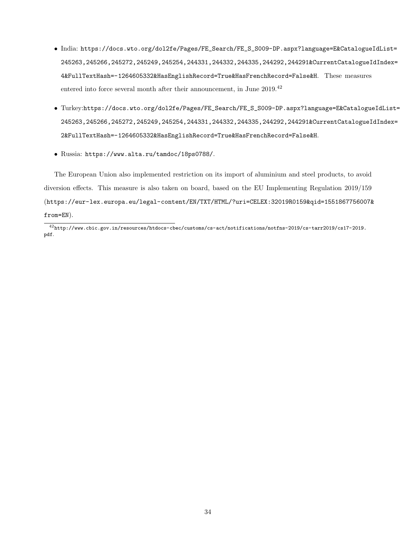- India: [https://docs.wto.org/dol2fe/Pages/FE\\_Search/FE\\_S\\_S009-DP.aspx?language=E&Catalogue](https://docs.wto.org/dol2fe/Pages/FE_Search/FE_S_S009-DP.aspx?language=E&CatalogueIdList=245263,245266,245272,245249,245254,244331,244332,244335,244292,244291&CurrentCatalogueIdIndex=4&FullTextHash=-1264605332&HasEnglishRecord=True&HasFrenchRecord=False&H)IdList= [245263,245266,245272,245249,245254,244331,244332,244335,244292,244291&CurrentCatalogueI](https://docs.wto.org/dol2fe/Pages/FE_Search/FE_S_S009-DP.aspx?language=E&CatalogueIdList=245263,245266,245272,245249,245254,244331,244332,244335,244292,244291&CurrentCatalogueIdIndex=4&FullTextHash=-1264605332&HasEnglishRecord=True&HasFrenchRecord=False&H)dIndex= [4&FullTextHash=-1264605332&HasEnglishRecord=True&HasFrenchRecord=False&H](https://docs.wto.org/dol2fe/Pages/FE_Search/FE_S_S009-DP.aspx?language=E&CatalogueIdList=245263,245266,245272,245249,245254,244331,244332,244335,244292,244291&CurrentCatalogueIdIndex=4&FullTextHash=-1264605332&HasEnglishRecord=True&HasFrenchRecord=False&H). These measures entered into force several month after their announcement, in June 2019.<sup>[42](#page-33-0)</sup>
- Turkey:[https://docs.wto.org/dol2fe/Pages/FE\\_Search/FE\\_S\\_S009-DP.aspx?language=E&Catalogue]( https://docs.wto.org/dol2fe/Pages/FE_Search/FE_S_S009-DP.aspx?language=E&CatalogueIdList=245263,245266,245272,245249,245254,244331,244332,244335,244292,244291&CurrentCatalogueIdIndex=2&FullTextHash=-1264605332&HasEnglishRecord=True&HasFrenchRecord=False&H)IdList= [245263,245266,245272,245249,245254,244331,244332,244335,244292,244291&CurrentCatalogueI]( https://docs.wto.org/dol2fe/Pages/FE_Search/FE_S_S009-DP.aspx?language=E&CatalogueIdList=245263,245266,245272,245249,245254,244331,244332,244335,244292,244291&CurrentCatalogueIdIndex=2&FullTextHash=-1264605332&HasEnglishRecord=True&HasFrenchRecord=False&H)dIndex= [2&FullTextHash=-1264605332&HasEnglishRecord=True&HasFrenchRecord=False&H]( https://docs.wto.org/dol2fe/Pages/FE_Search/FE_S_S009-DP.aspx?language=E&CatalogueIdList=245263,245266,245272,245249,245254,244331,244332,244335,244292,244291&CurrentCatalogueIdIndex=2&FullTextHash=-1264605332&HasEnglishRecord=True&HasFrenchRecord=False&H).
- Russia: <https://www.alta.ru/tamdoc/18ps0788/>.

The European Union also implemented restriction on its import of aluminium and steel products, to avoid diversion effects. This measure is also taken on board, based on the EU Implementing Regulation 2019/159 ([https://eur-lex.europa.eu/legal-content/EN/TXT/HTML/?uri=CELEX:32019R0159&qid=1551867756007&](https://eur-lex.europa.eu/legal-content/EN/TXT/HTML/?uri=CELEX:32019R0159&qid=1551867756007&from=EN) [from=EN](https://eur-lex.europa.eu/legal-content/EN/TXT/HTML/?uri=CELEX:32019R0159&qid=1551867756007&from=EN)).

<span id="page-33-0"></span> $^{42}{\rm http://www.cbic.gov.in/resources/htdocs-clock/customs/cs-act/notifications/notfns-2019/cs-tarr2019/cs17-2019.}$ [pdf](http://www.cbic.gov.in/resources/htdocs-cbec/customs/cs-act/notifications/notfns-2019/cs-tarr2019/cs17-2019.pdf).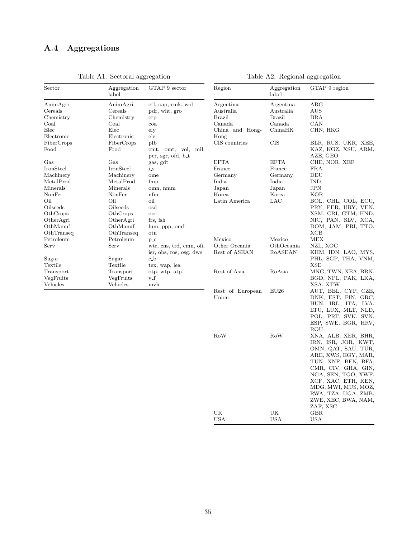## <span id="page-34-0"></span>A.4 Aggregations

| Sector             | Aggregation<br>label | GTAP 9 sector                             | Region           | Aggregation<br>label | GTAP 9 region                   |
|--------------------|----------------------|-------------------------------------------|------------------|----------------------|---------------------------------|
| AnimAgri           | AnimAgri             | ctl, oap, rmk, wol                        | Argentina        | Argentina            | ARG                             |
| $\rm Cereals$      | Cereals              | pdr, wht, gro                             | Australia        | Australia            | AUS                             |
| Chemistry          | Chemistry            | crp                                       | Brazil           | <b>Brazil</b>        | <b>BRA</b>                      |
| $_{\rm{Coal}}$     | Coal                 | coa                                       | Canada           | Canada               | CAN                             |
| $_{\rm Elec}$      | Elec                 | $_{\rm ely}$                              | China and Hong-  | ChinaHK              | CHN, HKG                        |
| Electronic         | Electronic           | ele                                       | Kong             |                      |                                 |
| FiberCrops         | FiberCrops           | pfb                                       | CIS countries    | CIS                  | BLR, RUS, UKR, XEE,             |
| $_{\mathrm{Food}}$ | Food                 | cmt, omt, vol, mil,<br>pcr, sgr, ofd, b_t |                  |                      | KAZ, KGZ, XSU, ARM,<br>AZE, GEO |
| $_{\rm Gas}$       | Gas                  | gas, gdt                                  | <b>EFTA</b>      | <b>EFTA</b>          | CHE, NOR, XEF                   |
| $_{\rm IronSteel}$ | IronSteel            | $i_{\mathbf{-S}}$                         | France           | France               | <b>FRA</b>                      |
| Machinery          | Machinery            | ome                                       | Germany          | Germany              | DEU                             |
| ${\rm MetalProd}$  | MetalProd            | fmp                                       | India            | India                | <b>IND</b>                      |
| Minerals           | Minerals             | omn, nmm                                  | Japan            | Japan                | <b>JPN</b>                      |
| NonFer             | NonFer               | nfm                                       | Korea            | Korea                | KOR                             |
| Oil                | Oil                  | oil                                       | Latin America    | LAC                  | BOL, CHL, COL, ECU,             |
| Oilseeds           | Oilseeds             | osd                                       |                  |                      | PRY, PER, URY, VEN,             |
| OthCrops           | OthCrops             | ocr                                       |                  |                      | XSM, CRI, GTM, HND,             |
| OtherAgri          | OtherAgri            | frs, fsh                                  |                  |                      | NIC, PAN, SLV, XCA,             |
| OthManuf           | OthManuf             | lum, ppp, omf                             |                  |                      | DOM, JAM, PRI, TTO,             |
| OthTranseq         | OthTranseq           | otn                                       |                  |                      | XCB                             |
| Petroleum          | Petroleum            | $p_{\text{-}C}$                           | Mexico           | Mexico               | MEX                             |
| $_{\rm Serv}$      | Serv                 | wtr, cns, trd, cmn, ofi,                  | Other Oceania    | OthOceania           | NZL, XOC                        |
|                    |                      | isr, obs, ros, osg, dwe                   | Rest of ASEAN    | RoASEAN              | KHM, IDN, LAO, MYS,             |
| Sugar<br>Textile   | Sugar<br>Textile     | c_b<br>tex, wap, lea                      |                  |                      | PHL, SGP, THA, VNM,<br>XSE      |
| Transport          | Transport            | otp, wtp, atp                             | Rest of Asia     | RoAsia               | MNG, TWN, XEA, BRN,             |
| VegFruits          | VegFruits            | $v_f$                                     |                  |                      | BGD, NPL, PAK, LKA,             |
| Vehicles           | Vehicles             | mvh                                       |                  |                      | XSA, XTW                        |
|                    |                      |                                           | Rest of European | EU26                 | AUT, BEL, CYP, CZE,             |
|                    |                      |                                           | Union            |                      | DNK, EST, FIN, GRC,             |
|                    |                      |                                           |                  |                      | HUN, IRL, ITA, LVA,             |
|                    |                      |                                           |                  |                      | LTU, LUX, MLT, NLD,             |
|                    |                      |                                           |                  |                      | POL, PRT, SVK, SVN,             |
|                    |                      |                                           |                  |                      | ESP, SWE, BGR, HRV,             |
|                    |                      |                                           |                  |                      | ROU                             |
|                    |                      |                                           | RoW              | RoW                  | XNA, ALB, XER, BHR,             |
|                    |                      |                                           |                  |                      | IRN, ISR, JOR, KWT,             |
|                    |                      |                                           |                  |                      | OMN, QAT, SAU, TUR,             |
|                    |                      |                                           |                  |                      | ARE, XWS, EGY, MAR,             |
|                    |                      |                                           |                  |                      | TUN, XNF, BEN, BFA,             |
|                    |                      |                                           |                  |                      | CMR, CIV, GHA, GIN,             |
|                    |                      |                                           |                  |                      | NGA, SEN, TGO, XWF,             |
|                    |                      |                                           |                  |                      | XCF, XAC, ETH, KEN,             |
|                    |                      |                                           |                  |                      | MDG, MWI, MUS, MOZ,             |
|                    |                      |                                           |                  |                      | RWA, TZA, UGA, ZMB,             |
|                    |                      |                                           |                  |                      | ZWE, XEC, BWA, NAM,<br>ZAF, XSC |
|                    |                      |                                           | UK               | UK                   | <b>GBR</b>                      |
|                    |                      |                                           | USA              | <b>USA</b>           | USA                             |

Table A1: Sectoral aggregation

Table A2: Regional aggregation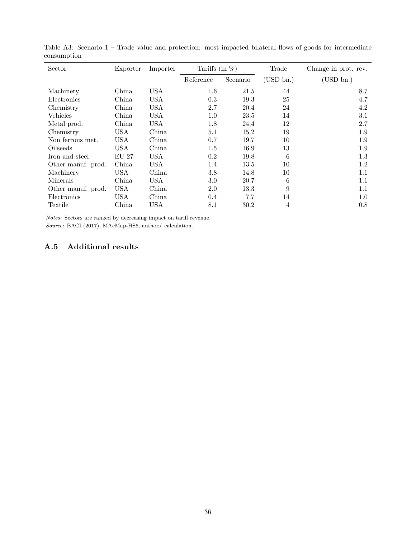| Sector             | Exporter   | Importer   | Tariffs (in $\%$ ) |          | Trade         | Change in prot. rev. |
|--------------------|------------|------------|--------------------|----------|---------------|----------------------|
|                    |            |            | Reference          | Scenario | $(USD \ bn.)$ | (USD bn.)            |
| Machinery          | China      | <b>USA</b> | 1.6                | 21.5     | 44            | 8.7                  |
| Electronics        | China      | <b>USA</b> | 0.3                | 19.3     | 25            | 4.7                  |
| Chemistry          | China      | <b>USA</b> | 2.7                | 20.4     | 24            | 4.2                  |
| Vehicles           | China      | <b>USA</b> | 1.0                | 23.5     | 14            | 3.1                  |
| Metal prod.        | China      | <b>USA</b> | 1.8                | 24.4     | 12            | 2.7                  |
| Chemistry          | <b>USA</b> | China      | 5.1                | 15.2     | 19            | 1.9                  |
| Non ferrous met.   | USA        | China      | 0.7                | 19.7     | 10            | 1.9                  |
| Oilseeds           | <b>USA</b> | China      | 1.5                | 16.9     | 13            | 1.9                  |
| Iron and steel     | EU 27      | USA        | 0.2                | 19.8     | 6             | $1.3\,$              |
| Other manuf. prod. | China      | <b>USA</b> | 1.4                | 13.5     | 10            | 1.2                  |
| Machinery          | <b>USA</b> | China      | 3.8                | 14.8     | 10            | 1.1                  |
| Minerals           | China      | <b>USA</b> | 3.0                | 20.7     | 6             | 1.1                  |
| Other manuf. prod. | <b>USA</b> | China      | 2.0                | 13.3     | 9             | 1.1                  |
| Electronics        | <b>USA</b> | China      | 0.4                | 7.7      | 14            | $1.0\,$              |
| Textile            | China      | <b>USA</b> | 8.1                | 30.2     | 4             | 0.8                  |

Table A3: Scenario 1 – Trade value and protection: most impacted bilateral flows of goods for intermediate consumption

Notes: Sectors are ranked by decreasing impact on tariff revenue.

Source: BACI (2017), MAcMap-HS6, authors' calculation.

### <span id="page-35-0"></span>A.5 Additional results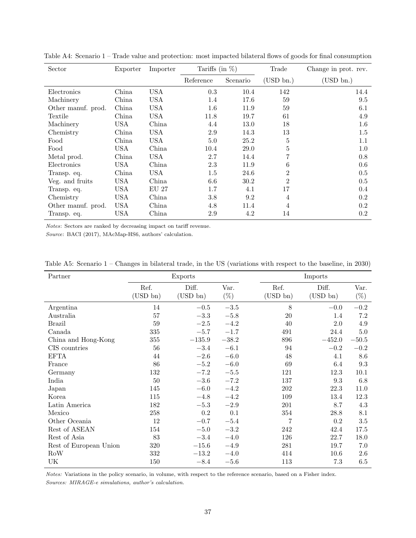| Sector             | Exporter   | Importer     | Tariffs (in $\%$ ) |          | Trade          | Change in prot. rev. |
|--------------------|------------|--------------|--------------------|----------|----------------|----------------------|
|                    |            |              | Reference          | Scenario | (USD bn.)      | (USD bn.)            |
| Electronics        | China      | <b>USA</b>   | 0.3                | 10.4     | 142            | 14.4                 |
| Machinery          | China      | <b>USA</b>   | 1.4                | 17.6     | 59             | 9.5                  |
| Other manuf. prod. | China      | USA          | 1.6                | 11.9     | 59             | 6.1                  |
| Textile            | China      | <b>USA</b>   | 11.8               | 19.7     | 61             | 4.9                  |
| Machinery          | <b>USA</b> | China        | 4.4                | 13.0     | 18             | $1.6\,$              |
| Chemistry          | China      | <b>USA</b>   | 2.9                | 14.3     | 13             | 1.5                  |
| Food               | China      | USA          | 5.0                | 25.2     | 5              | $1.1\,$              |
| Food               | USA        | China        | 10.4               | 29.0     | 5              | $1.0\,$              |
| Metal prod.        | China      | USA          | 2.7                | 14.4     | 7              | 0.8                  |
| Electronics        | <b>USA</b> | China        | 2.3                | 11.9     | 6              | 0.6                  |
| Transp. eq.        | China      | <b>USA</b>   | 1.5                | 24.6     | $\overline{2}$ | 0.5                  |
| Veg. and fruits    | <b>USA</b> | China        | 6.6                | 30.2     | $\overline{2}$ | 0.5                  |
| Transp. eq.        | <b>USA</b> | <b>EU 27</b> | 1.7                | 4.1      | 17             | 0.4                  |
| Chemistry          | <b>USA</b> | China        | 3.8                | 9.2      | 4              | 0.2                  |
| Other manuf. prod. | <b>USA</b> | China        | 4.8                | 11.4     | 4              | 0.2                  |
| Transp. eq.        | <b>USA</b> | China        | 2.9                | 4.2      | 14             | 0.2                  |

Table A4: Scenario 1 – Trade value and protection: most impacted bilateral flows of goods for final consumption

Notes: Sectors are ranked by decreasing impact on tariff revenue.

Source: BACI (2017), MAcMap-HS6, authors' calculation.

<span id="page-36-0"></span>

| Table A5: Scenario $1$ – Changes in bilateral trade, in the US (variations with respect to the baseline, in 2030) |  |  |
|-------------------------------------------------------------------------------------------------------------------|--|--|
|-------------------------------------------------------------------------------------------------------------------|--|--|

| Partner                |                  | Exports              |                |                     | Imports           |                |
|------------------------|------------------|----------------------|----------------|---------------------|-------------------|----------------|
|                        | Ref.<br>(USD bn) | Diff.<br>$(USD\ bn)$ | Var.<br>$(\%)$ | Ref.<br>$(USD\ bn)$ | Diff.<br>(USD bn) | Var.<br>$(\%)$ |
| Argentina              | 14               | $-0.5$               | $-3.5\,$       | 8                   | $-0.0$            | $-0.2$         |
| Australia              | 57               | $-3.3$               | $-5.8$         | 20                  | 1.4               | $7.2\,$        |
| <b>Brazil</b>          | 59               | $-2.5$               | $-4.2$         | 40                  | $2.0\,$           | 4.9            |
| Canada                 | 335              | $-5.7$               | $-1.7$         | 491                 | 24.4              | $5.0\,$        |
| China and Hong-Kong    | 355              | $-135.9$             | $-38.2$        | 896                 | $-452.0$          | $-50.5$        |
| CIS countries          | 56               | $-3.4$               | $-6.1$         | 94                  | $-0.2$            | $-0.2$         |
| <b>EFTA</b>            | 44               | $-2.6\,$             | $-6.0$         | 48                  | 4.1               | $8.6\,$        |
| France                 | 86               | $-5.2$               | $-6.0$         | 69                  | 6.4               | $\rm 9.3$      |
| Germany                | 132              | $-7.2$               | $-5.5$         | 121                 | 12.3              | 10.1           |
| India                  | 50               | $-3.6$               | $-7.2$         | 137                 | 9.3               | 6.8            |
| Japan                  | 145              | $-6.0$               | $-4.2$         | 202                 | 22.3              | $11.0\,$       |
| Korea                  | 115              | $-4.8$               | $-4.2$         | 109                 | 13.4              | 12.3           |
| Latin America          | 182              | $-5.3$               | $-2.9$         | 201                 | 8.7               | 4.3            |
| Mexico                 | 258              | 0.2                  | 0.1            | 354                 | 28.8              | 8.1            |
| Other Oceania          | 12               | $-0.7$               | $-5.4$         | $\overline{7}$      | $0.2\,$           | $3.5\,$        |
| Rest of ASEAN          | 154              | $-5.0$               | $-3.2$         | 242                 | 42.4              | 17.5           |
| Rest of Asia           | 83               | $-3.4$               | $-4.0$         | 126                 | 22.7              | 18.0           |
| Rest of European Union | 320              | $-15.6$              | $-4.9$         | 281                 | 19.7              | 7.0            |
| RoW                    | $332\,$          | $-13.2$              | $-4.0$         | 414                 | 10.6              | 2.6            |
| UK                     | 150              | $-8.4\,$             | $-5.6$         | 113                 | 7.3               | 6.5            |

Notes: Variations in the policy scenario, in volume, with respect to the reference scenario, based on a Fisher index. Sources: MIRAGE-e simulations, author's calculation.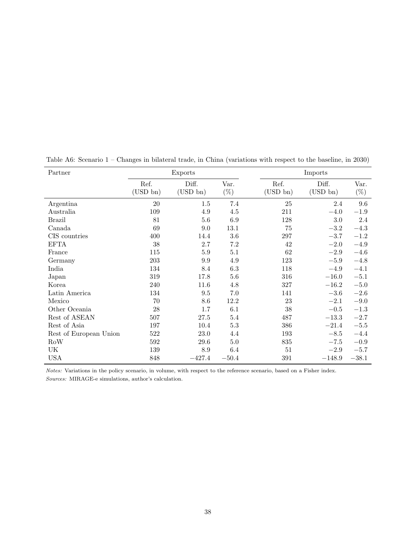| Partner                | Exports             |                      |                |                     | Imports              |                |
|------------------------|---------------------|----------------------|----------------|---------------------|----------------------|----------------|
|                        | Ref.<br>$(USD\ bn)$ | Diff.<br>$(USD\ bn)$ | Var.<br>$(\%)$ | Ref.<br>$(USD\ bn)$ | Diff.<br>$(USD\ bn)$ | Var.<br>$(\%)$ |
| Argentina              | $20\,$              | 1.5                  | $7.4\,$        | 25                  | 2.4                  | 9.6            |
| Australia              | 109                 | 4.9                  | 4.5            | 211                 | $-4.0$               | $-1.9$         |
| <b>Brazil</b>          | 81                  | 5.6                  | $6.9\,$        | 128                 | $3.0\,$              | 2.4            |
| Canada                 | 69                  | 9.0                  | 13.1           | 75                  | $-3.2$               | $-4.3$         |
| CIS countries          | 400                 | 14.4                 | $3.6\,$        | $297\,$             | $-3.7$               | $-1.2$         |
| <b>EFTA</b>            | 38                  | 2.7                  | 7.2            | 42                  | $-2.0$               | $-4.9$         |
| France                 | 115                 | $5.9\,$              | 5.1            | 62                  | $-2.9$               | $-4.6$         |
| Germany                | 203                 | 9.9                  | 4.9            | 123                 | $-5.9$               | $-4.8$         |
| India                  | 134                 | 8.4                  | 6.3            | 118                 | $-4.9$               | $-4.1$         |
| Japan                  | 319                 | 17.8                 | 5.6            | 316                 | $-16.0$              | $-5.1$         |
| Korea                  | 240                 | 11.6                 | 4.8            | 327                 | $-16.2$              | $-5.0$         |
| Latin America          | 134                 | $\,9.5$              | 7.0            | 141                 | $-3.6$               | $-2.6\,$       |
| Mexico                 | 70                  | 8.6                  | 12.2           | 23                  | $-2.1$               | $-9.0$         |
| Other Oceania          | $28\,$              | 1.7                  | 6.1            | $38\,$              | $-0.5$               | $-1.3$         |
| Rest of ASEAN          | 507                 | 27.5                 | 5.4            | 487                 | $-13.3$              | $-2.7$         |
| Rest of Asia           | 197                 | 10.4                 | $5.3\,$        | 386                 | $-21.4$              | $-5.5$         |
| Rest of European Union | 522                 | 23.0                 | 4.4            | 193                 | $-8.5$               | $-4.4$         |
| RoW                    | 592                 | 29.6                 | $5.0\,$        | 835                 | $-7.5$               | $-0.9$         |
| UK                     | 139                 | 8.9                  | 6.4            | 51                  | $-2.9$               | $-5.7$         |
| <b>USA</b>             | 848                 | $-427.4$             | $-50.4$        | 391                 | $-148.9$             | $-38.1$        |

<span id="page-37-0"></span>Table A6: Scenario 1 – Changes in bilateral trade, in China (variations with respect to the baseline, in 2030)

Notes: Variations in the policy scenario, in volume, with respect to the reference scenario, based on a Fisher index.

Sources: MIRAGE-e simulations, author's calculation.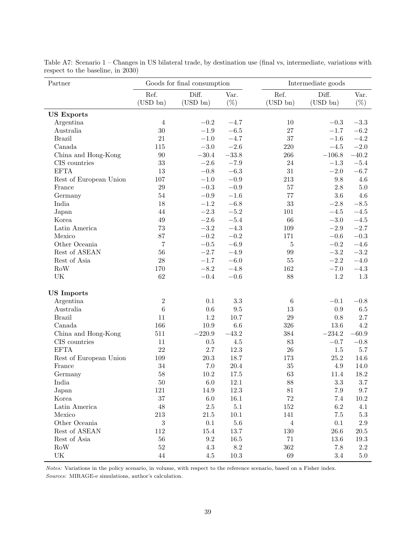| Partner                           |                     | Goods for final consumption |                |                     | Intermediate goods   |                |
|-----------------------------------|---------------------|-----------------------------|----------------|---------------------|----------------------|----------------|
|                                   | Ref.<br>$(USD\ bn)$ | Diff.<br>$(USD\ bn)$        | Var.<br>$(\%)$ | Ref.<br>$(USD\ bn)$ | Diff.<br>$(USD\ bn)$ | Var.<br>$(\%)$ |
| <b>US Exports</b>                 |                     |                             |                |                     |                      |                |
| Argentina                         | $\overline{4}$      | $\!-0.2$                    | $-4.7$         | 10                  | $-0.3$               | $-3.3$         |
| Australia                         | 30                  | $-1.9\,$                    | $-6.5$         | 27                  | $-1.7$               | $-6.2\,$       |
| <b>Brazil</b>                     | 21                  | $-1.0\,$                    | $-4.7$         | 37                  | $-1.6$               | $-4.2\,$       |
| Canada                            | 115                 | $-3.0$                      | $-2.6$         | 220                 | $-4.5\,$             | $-2.0\,$       |
| China and Hong-Kong               | 90                  | $-30.4$                     | $-33.8$        | 266                 | $-106.8$             | $-40.2$        |
| CIS countries                     | 33                  | $-2.6$                      | $-7.9$         | 24                  | $-1.3$               | $-5.4\,$       |
| <b>EFTA</b>                       | 13                  | $-0.8$                      | $-6.3$         | 31                  | $-2.0$               | $-6.7$         |
| Rest of European Union            | 107                 | $-1.0\,$                    | $-0.9$         | $213\,$             | 9.8                  | 4.6            |
| France                            | 29                  | $\!-0.3$                    | $-0.9$         | 57                  | 2.8                  | $5.0\,$        |
| Germany                           | 54                  | $-0.9$                      | $-1.6\,$       | 77                  | 3.6                  | 4.6            |
| India                             | 18                  | $-1.2$                      | $-6.8$         | 33                  | $-2.8$               | $-8.5\,$       |
| Japan                             | 44                  | $-2.3$                      | $-5.2$         | 101                 | $-4.5\,$             | $-4.5\,$       |
| Korea                             | 49                  | $-2.6$                      | $-5.4$         | 66                  | $-3.0$               | $-4.5\,$       |
| Latin America                     | 73                  | $-3.2$                      | $-4.3$         | 109                 | $-2.9$               | $-2.7$         |
| Mexico                            | 87                  | $-0.2$                      | $-0.2$         | 171                 | $-0.6$               | $\!-0.3$       |
| Other Oceania                     | $\overline{7}$      | $-0.5$                      | $-6.9$         | $\overline{5}$      | $-0.2$               | $-4.6\,$       |
| Rest of ASEAN                     | 56                  | $-2.7$                      | $-4.9$         | 99                  | $-3.2$               | $-3.2$         |
| Rest of Asia                      | 28                  | $-1.7$                      | $-6.0$         | 55                  | $-2.2$               | $-4.0$         |
| <b>RoW</b>                        | 170                 | $-8.2$                      | $-4.8$         | 162                 | $-7.0\,$             | $-4.3$         |
| $\ensuremath{\text{UK}}\xspace$   | 62                  | $\!-0.4\!$                  | $-0.6$         | 88                  | 1.2                  | $1.3\,$        |
| <b>US</b> Imports                 |                     |                             |                |                     |                      |                |
| Argentina                         | $\boldsymbol{2}$    | 0.1                         | 3.3            | $\boldsymbol{6}$    | $-0.1$               | $-0.8$         |
| Australia                         | $\,6$               | 0.6                         | 9.5            | 13                  | 0.9                  | $6.5\,$        |
| <b>Brazil</b>                     | 11                  | 1.2                         | 10.7           | 29                  | 0.8                  | 2.7            |
| Canada                            | 166                 | 10.9                        | 6.6            | 326                 | 13.6                 | 4.2            |
| China and Hong-Kong               | 511                 | $-220.9$                    | $-43.2$        | 384                 | $-234.2$             | $-60.9$        |
| CIS countries                     | 11                  | $0.5\,$                     | $4.5\,$        | 83                  | $-0.7$               | $-0.8$         |
| <b>EFTA</b>                       | 22                  | 2.7                         | 12.3           | 26                  | $1.5\,$              | $5.7\,$        |
| Rest of European Union            | 109                 | 20.3                        | 18.7           | 173                 | 25.2                 | 14.6           |
| France                            | 34                  | 7.0                         | 20.4           | 35                  | 4.9                  | 14.0           |
| Germany                           | $58\,$              | 10.2                        | 17.5           | 63                  | 11.4                 | 18.2           |
| India                             | $50\,$              | 6.0                         | $12.1\,$       | $88\,$              | 3.3                  | $3.7\,$        |
| Japan                             | $121\,$             | 14.9                        | 12.3           | $81\,$              | $7.9\,$              | $9.7\,$        |
| Korea                             | 37                  | $6.0\,$                     | 16.1           | $72\,$              | $7.4\,$              | 10.2           |
| Latin America                     | 48                  | $2.5\,$                     | $5.1\,$        | 152                 | $6.2\,$              | 4.1            |
| Mexico                            | $213\,$             | $21.5\,$                    | $10.1\,$       | 141                 | 7.5                  | $5.3\,$        |
| Other Oceania                     | 3                   | $0.1\,$                     | $5.6\,$        | $\overline{4}$      | $0.1\,$              | $2.9\,$        |
| Rest of ASEAN                     | 112                 | 15.4                        | 13.7           | 130                 | 26.6                 | $20.5\,$       |
| Rest of Asia                      | $56\,$              | $\rm 9.2$                   | 16.5           | $71\,$              | 13.6                 | 19.3           |
| $\rm RoW$                         | $52\,$              | $4.3\,$                     | $8.2\,$        | 362                 | 7.8                  | $2.2\,$        |
| $\ensuremath{\mathrm{UK}}\xspace$ | $44\,$              | 4.5                         | $10.3\,$       | 69                  | $3.4\,$              | $5.0\,$        |

<span id="page-38-0"></span>Table A7: Scenario 1 – Changes in US bilateral trade, by destination use (final vs, intermediate, variations with respect to the baseline, in 2030)

Notes: Variations in the policy scenario, in volume, with respect to the reference scenario, based on a Fisher index.

Sources: MIRAGE-e simulations, author's calculation.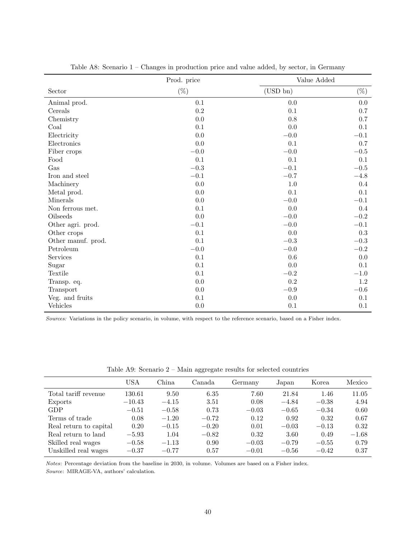|                    | Prod. price |             | Value Added |
|--------------------|-------------|-------------|-------------|
| Sector             | $(\%)$      | $(USD\ bn)$ | $(\%)$      |
| Animal prod.       | 0.1         | $0.0\,$     | $0.0\,$     |
| Cereals            | 0.2         | 0.1         | 0.7         |
| Chemistry          | 0.0         | 0.8         | 0.7         |
| Coal               | 0.1         | 0.0         | 0.1         |
| Electricity        | 0.0         | $-0.0$      | $-0.1$      |
| Electronics        | 0.0         | $0.1\,$     | $0.7\,$     |
| Fiber crops        | $\!-0.0$    | $-0.0$      | $-0.5$      |
| Food               | 0.1         | 0.1         | 0.1         |
| Gas                | $-0.3$      | $-0.1$      | $-0.5$      |
| Iron and steel     | $-0.1\,$    | $-0.7$      | $-4.8$      |
| Machinery          | 0.0         | 1.0         | 0.4         |
| Metal prod.        | 0.0         | 0.1         | $0.1\,$     |
| Minerals           | 0.0         | $\!-0.0$    | $-0.1$      |
| Non ferrous met.   | 0.1         | 0.0         | $0.4\,$     |
| Oilseeds           | 0.0         | $\!-0.0$    | $-0.2$      |
| Other agri. prod.  | $-0.1$      | $-0.0$      | $-0.1$      |
| Other crops        | 0.1         | 0.0         | $\rm 0.3$   |
| Other manuf. prod. | 0.1         | $\!-0.3$    | $-0.3$      |
| Petroleum          | $-0.0$      | $-0.0$      | $-0.2$      |
| Services           | 0.1         | 0.6         | $0.0\,$     |
| Sugar              | 0.1         | 0.0         | 0.1         |
| Textile            | 0.1         | $-0.2$      | $-1.0\,$    |
| Transp. eq.        | 0.0         | 0.2         | 1.2         |
| Transport          | 0.0         | $\!-0.9$    | $\!-0.6$    |
| Veg. and fruits    | 0.1         | $0.0\,$     | 0.1         |
| Vehicles           | 0.0         | 0.1         | 0.1         |

<span id="page-39-0"></span>Table A8: Scenario 1 – Changes in production price and value added, by sector, in Germany

Sources: Variations in the policy scenario, in volume, with respect to the reference scenario, based on a Fisher index.

|                        | USA      | China   | Canada  | Germany | Japan   | Korea   | Mexico  |
|------------------------|----------|---------|---------|---------|---------|---------|---------|
| Total tariff revenue   | 130.61   | 9.50    | 6.35    | 7.60    | 21.84   | 1.46    | 11.05   |
| Exports                | $-10.43$ | $-4.15$ | 3.51    | 0.08    | $-4.84$ | $-0.38$ | 4.94    |
| GDP                    | $-0.51$  | $-0.58$ | 0.73    | $-0.03$ | $-0.65$ | $-0.34$ | 0.60    |
| Terms of trade         | 0.08     | $-1.20$ | $-0.72$ | 0.12    | 0.92    | 0.32    | 0.67    |
| Real return to capital | 0.20     | $-0.15$ | $-0.20$ | 0.01    | $-0.03$ | $-0.13$ | 0.32    |
| Real return to land    | $-5.93$  | 1.04    | $-0.82$ | 0.32    | 3.60    | 0.49    | $-1.68$ |
| Skilled real wages     | $-0.58$  | $-1.13$ | 0.90    | $-0.03$ | $-0.79$ | $-0.55$ | 0.79    |
| Unskilled real wages   | $-0.37$  | $-0.77$ | 0.57    | $-0.01$ | $-0.56$ | $-0.42$ | 0.37    |

<span id="page-39-1"></span>Table A9: Scenario 2 – Main aggregate results for selected countries

Notes: Percentage deviation from the baseline in 2030, in volume. Volumes are based on a Fisher index.

Source: MIRAGE-VA, authors' calculation.